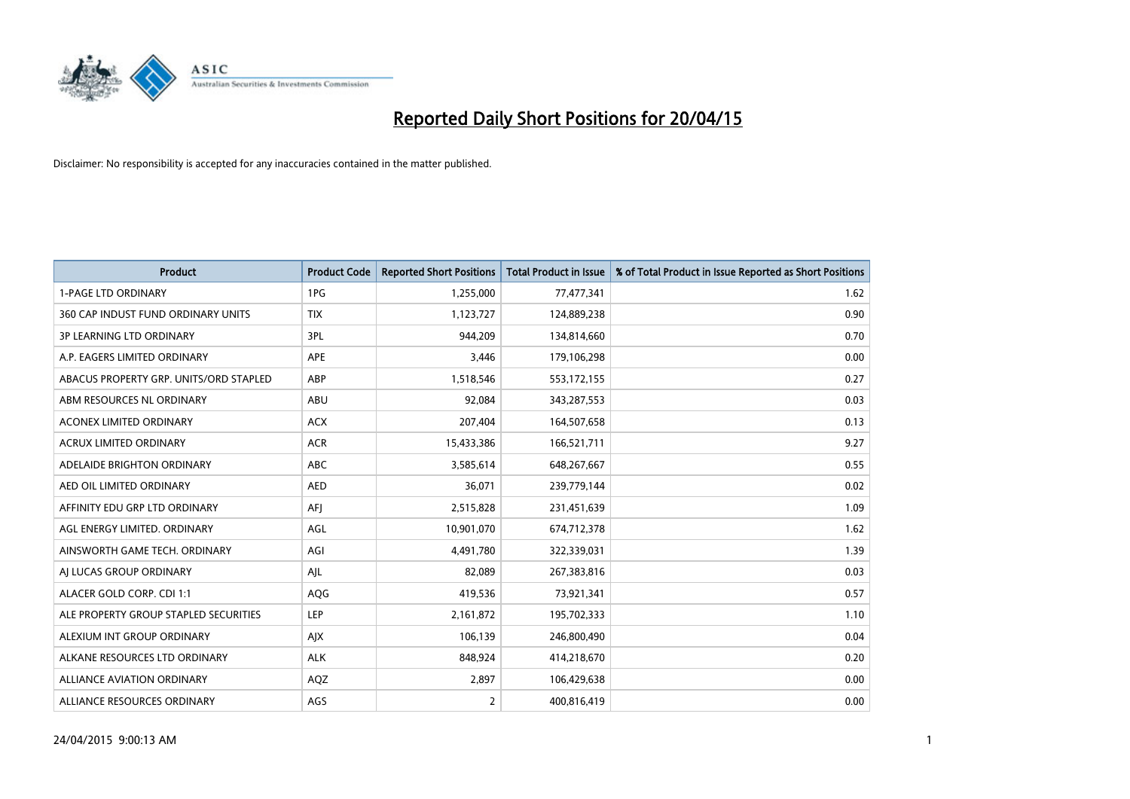

| <b>Product</b>                         | <b>Product Code</b> | <b>Reported Short Positions</b> | <b>Total Product in Issue</b> | % of Total Product in Issue Reported as Short Positions |
|----------------------------------------|---------------------|---------------------------------|-------------------------------|---------------------------------------------------------|
| <b>1-PAGE LTD ORDINARY</b>             | 1PG                 | 1,255,000                       | 77,477,341                    | 1.62                                                    |
| 360 CAP INDUST FUND ORDINARY UNITS     | <b>TIX</b>          | 1,123,727                       | 124,889,238                   | 0.90                                                    |
| 3P LEARNING LTD ORDINARY               | 3PL                 | 944,209                         | 134,814,660                   | 0.70                                                    |
| A.P. EAGERS LIMITED ORDINARY           | <b>APE</b>          | 3,446                           | 179,106,298                   | 0.00                                                    |
| ABACUS PROPERTY GRP. UNITS/ORD STAPLED | ABP                 | 1,518,546                       | 553,172,155                   | 0.27                                                    |
| ABM RESOURCES NL ORDINARY              | ABU                 | 92,084                          | 343,287,553                   | 0.03                                                    |
| ACONEX LIMITED ORDINARY                | <b>ACX</b>          | 207,404                         | 164,507,658                   | 0.13                                                    |
| ACRUX LIMITED ORDINARY                 | <b>ACR</b>          | 15,433,386                      | 166,521,711                   | 9.27                                                    |
| ADELAIDE BRIGHTON ORDINARY             | <b>ABC</b>          | 3,585,614                       | 648,267,667                   | 0.55                                                    |
| AED OIL LIMITED ORDINARY               | <b>AED</b>          | 36,071                          | 239,779,144                   | 0.02                                                    |
| AFFINITY EDU GRP LTD ORDINARY          | AFJ                 | 2,515,828                       | 231,451,639                   | 1.09                                                    |
| AGL ENERGY LIMITED. ORDINARY           | AGL                 | 10,901,070                      | 674,712,378                   | 1.62                                                    |
| AINSWORTH GAME TECH. ORDINARY          | AGI                 | 4,491,780                       | 322,339,031                   | 1.39                                                    |
| AI LUCAS GROUP ORDINARY                | AJL                 | 82,089                          | 267,383,816                   | 0.03                                                    |
| ALACER GOLD CORP. CDI 1:1              | AQG                 | 419,536                         | 73,921,341                    | 0.57                                                    |
| ALE PROPERTY GROUP STAPLED SECURITIES  | LEP                 | 2,161,872                       | 195,702,333                   | 1.10                                                    |
| ALEXIUM INT GROUP ORDINARY             | AJX                 | 106,139                         | 246,800,490                   | 0.04                                                    |
| ALKANE RESOURCES LTD ORDINARY          | <b>ALK</b>          | 848,924                         | 414,218,670                   | 0.20                                                    |
| <b>ALLIANCE AVIATION ORDINARY</b>      | AQZ                 | 2,897                           | 106,429,638                   | 0.00                                                    |
| ALLIANCE RESOURCES ORDINARY            | AGS                 | $\overline{2}$                  | 400,816,419                   | 0.00                                                    |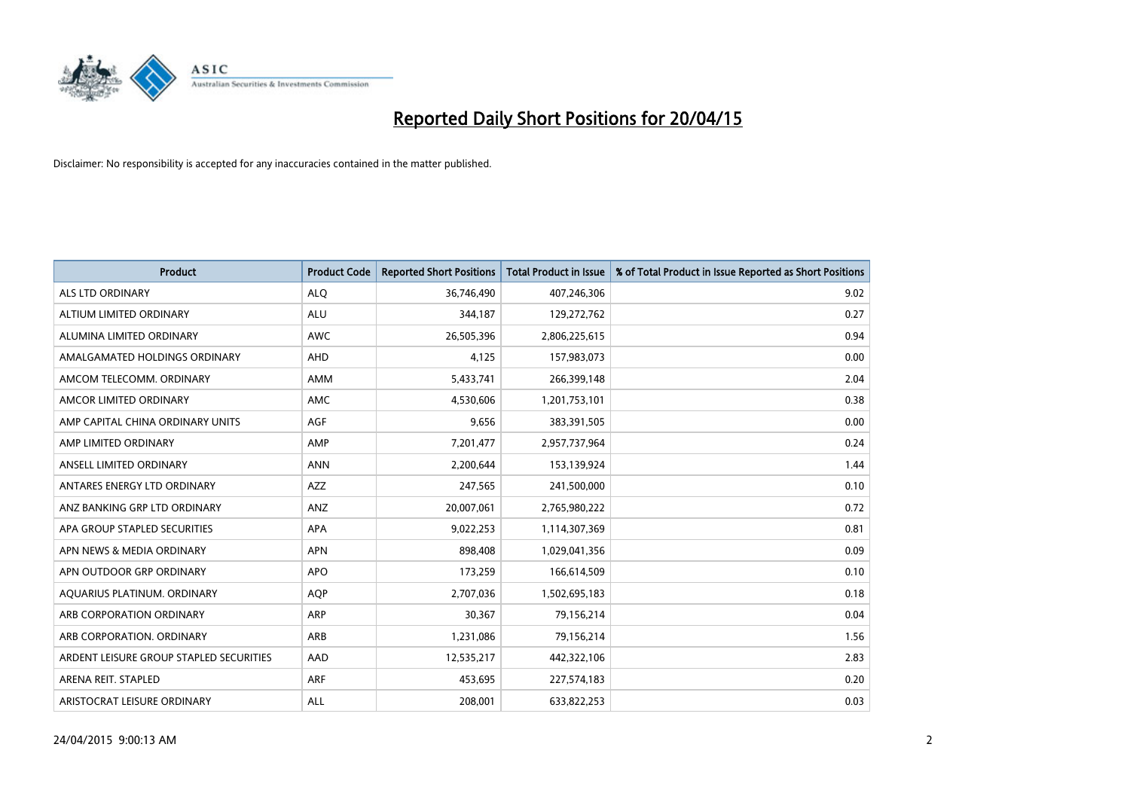

| <b>Product</b>                          | <b>Product Code</b> | <b>Reported Short Positions</b> | <b>Total Product in Issue</b> | % of Total Product in Issue Reported as Short Positions |
|-----------------------------------------|---------------------|---------------------------------|-------------------------------|---------------------------------------------------------|
| ALS LTD ORDINARY                        | <b>ALQ</b>          | 36,746,490                      | 407,246,306                   | 9.02                                                    |
| ALTIUM LIMITED ORDINARY                 | <b>ALU</b>          | 344,187                         | 129,272,762                   | 0.27                                                    |
| ALUMINA LIMITED ORDINARY                | <b>AWC</b>          | 26,505,396                      | 2,806,225,615                 | 0.94                                                    |
| AMALGAMATED HOLDINGS ORDINARY           | <b>AHD</b>          | 4,125                           | 157,983,073                   | 0.00                                                    |
| AMCOM TELECOMM, ORDINARY                | <b>AMM</b>          | 5,433,741                       | 266,399,148                   | 2.04                                                    |
| AMCOR LIMITED ORDINARY                  | <b>AMC</b>          | 4,530,606                       | 1,201,753,101                 | 0.38                                                    |
| AMP CAPITAL CHINA ORDINARY UNITS        | AGF                 | 9,656                           | 383,391,505                   | 0.00                                                    |
| AMP LIMITED ORDINARY                    | AMP                 | 7,201,477                       | 2,957,737,964                 | 0.24                                                    |
| ANSELL LIMITED ORDINARY                 | <b>ANN</b>          | 2,200,644                       | 153,139,924                   | 1.44                                                    |
| ANTARES ENERGY LTD ORDINARY             | <b>AZZ</b>          | 247,565                         | 241,500,000                   | 0.10                                                    |
| ANZ BANKING GRP LTD ORDINARY            | ANZ                 | 20,007,061                      | 2,765,980,222                 | 0.72                                                    |
| APA GROUP STAPLED SECURITIES            | APA                 | 9,022,253                       | 1,114,307,369                 | 0.81                                                    |
| APN NEWS & MEDIA ORDINARY               | <b>APN</b>          | 898,408                         | 1,029,041,356                 | 0.09                                                    |
| APN OUTDOOR GRP ORDINARY                | <b>APO</b>          | 173,259                         | 166,614,509                   | 0.10                                                    |
| AQUARIUS PLATINUM. ORDINARY             | <b>AOP</b>          | 2,707,036                       | 1,502,695,183                 | 0.18                                                    |
| ARB CORPORATION ORDINARY                | ARP                 | 30,367                          | 79,156,214                    | 0.04                                                    |
| ARB CORPORATION. ORDINARY               | ARB                 | 1,231,086                       | 79,156,214                    | 1.56                                                    |
| ARDENT LEISURE GROUP STAPLED SECURITIES | AAD                 | 12,535,217                      | 442,322,106                   | 2.83                                                    |
| ARENA REIT. STAPLED                     | <b>ARF</b>          | 453,695                         | 227,574,183                   | 0.20                                                    |
| ARISTOCRAT LEISURE ORDINARY             | ALL                 | 208,001                         | 633,822,253                   | 0.03                                                    |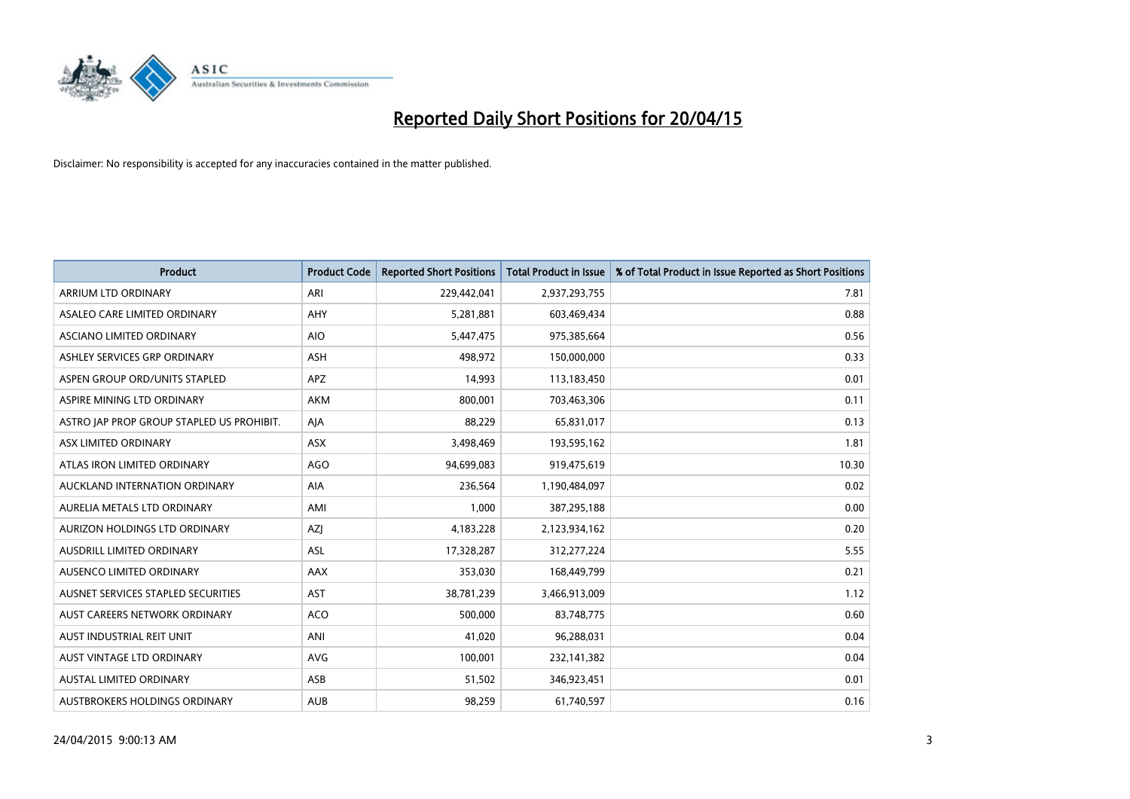

| <b>Product</b>                            | <b>Product Code</b> | <b>Reported Short Positions</b> | <b>Total Product in Issue</b> | % of Total Product in Issue Reported as Short Positions |
|-------------------------------------------|---------------------|---------------------------------|-------------------------------|---------------------------------------------------------|
| ARRIUM LTD ORDINARY                       | ARI                 | 229,442,041                     | 2,937,293,755                 | 7.81                                                    |
| ASALEO CARE LIMITED ORDINARY              | AHY                 | 5,281,881                       | 603,469,434                   | 0.88                                                    |
| ASCIANO LIMITED ORDINARY                  | <b>AIO</b>          | 5,447,475                       | 975,385,664                   | 0.56                                                    |
| ASHLEY SERVICES GRP ORDINARY              | <b>ASH</b>          | 498,972                         | 150,000,000                   | 0.33                                                    |
| ASPEN GROUP ORD/UNITS STAPLED             | APZ                 | 14,993                          | 113,183,450                   | 0.01                                                    |
| ASPIRE MINING LTD ORDINARY                | <b>AKM</b>          | 800,001                         | 703,463,306                   | 0.11                                                    |
| ASTRO JAP PROP GROUP STAPLED US PROHIBIT. | AJA                 | 88,229                          | 65,831,017                    | 0.13                                                    |
| ASX LIMITED ORDINARY                      | ASX                 | 3,498,469                       | 193,595,162                   | 1.81                                                    |
| ATLAS IRON LIMITED ORDINARY               | <b>AGO</b>          | 94,699,083                      | 919,475,619                   | 10.30                                                   |
| AUCKLAND INTERNATION ORDINARY             | <b>AIA</b>          | 236,564                         | 1,190,484,097                 | 0.02                                                    |
| AURELIA METALS LTD ORDINARY               | AMI                 | 1,000                           | 387,295,188                   | 0.00                                                    |
| AURIZON HOLDINGS LTD ORDINARY             | AZJ                 | 4,183,228                       | 2,123,934,162                 | 0.20                                                    |
| AUSDRILL LIMITED ORDINARY                 | ASL                 | 17,328,287                      | 312,277,224                   | 5.55                                                    |
| AUSENCO LIMITED ORDINARY                  | AAX                 | 353,030                         | 168,449,799                   | 0.21                                                    |
| AUSNET SERVICES STAPLED SECURITIES        | AST                 | 38,781,239                      | 3,466,913,009                 | 1.12                                                    |
| AUST CAREERS NETWORK ORDINARY             | <b>ACO</b>          | 500,000                         | 83,748,775                    | 0.60                                                    |
| AUST INDUSTRIAL REIT UNIT                 | ANI                 | 41,020                          | 96,288,031                    | 0.04                                                    |
| AUST VINTAGE LTD ORDINARY                 | <b>AVG</b>          | 100,001                         | 232,141,382                   | 0.04                                                    |
| <b>AUSTAL LIMITED ORDINARY</b>            | ASB                 | 51,502                          | 346,923,451                   | 0.01                                                    |
| AUSTBROKERS HOLDINGS ORDINARY             | <b>AUB</b>          | 98,259                          | 61,740,597                    | 0.16                                                    |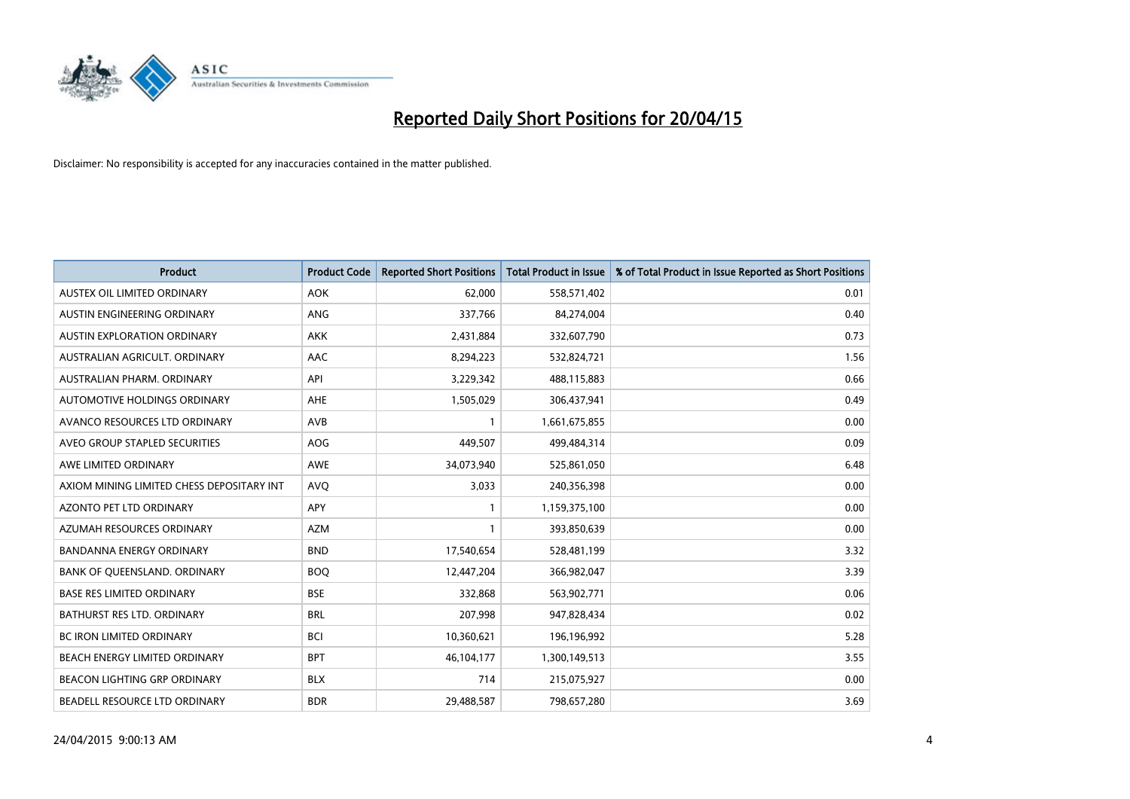

| <b>Product</b>                            | <b>Product Code</b> | <b>Reported Short Positions</b> | <b>Total Product in Issue</b> | % of Total Product in Issue Reported as Short Positions |
|-------------------------------------------|---------------------|---------------------------------|-------------------------------|---------------------------------------------------------|
| AUSTEX OIL LIMITED ORDINARY               | <b>AOK</b>          | 62,000                          | 558,571,402                   | 0.01                                                    |
| AUSTIN ENGINEERING ORDINARY               | ANG                 | 337,766                         | 84,274,004                    | 0.40                                                    |
| <b>AUSTIN EXPLORATION ORDINARY</b>        | <b>AKK</b>          | 2,431,884                       | 332,607,790                   | 0.73                                                    |
| AUSTRALIAN AGRICULT. ORDINARY             | AAC                 | 8,294,223                       | 532,824,721                   | 1.56                                                    |
| AUSTRALIAN PHARM, ORDINARY                | API                 | 3,229,342                       | 488,115,883                   | 0.66                                                    |
| AUTOMOTIVE HOLDINGS ORDINARY              | AHE                 | 1,505,029                       | 306,437,941                   | 0.49                                                    |
| AVANCO RESOURCES LTD ORDINARY             | AVB                 |                                 | 1,661,675,855                 | 0.00                                                    |
| AVEO GROUP STAPLED SECURITIES             | AOG                 | 449,507                         | 499,484,314                   | 0.09                                                    |
| AWE LIMITED ORDINARY                      | <b>AWE</b>          | 34,073,940                      | 525,861,050                   | 6.48                                                    |
| AXIOM MINING LIMITED CHESS DEPOSITARY INT | <b>AVQ</b>          | 3,033                           | 240,356,398                   | 0.00                                                    |
| AZONTO PET LTD ORDINARY                   | APY                 |                                 | 1,159,375,100                 | 0.00                                                    |
| AZUMAH RESOURCES ORDINARY                 | AZM                 | $\mathbf{1}$                    | 393,850,639                   | 0.00                                                    |
| <b>BANDANNA ENERGY ORDINARY</b>           | <b>BND</b>          | 17,540,654                      | 528,481,199                   | 3.32                                                    |
| BANK OF QUEENSLAND. ORDINARY              | <b>BOO</b>          | 12,447,204                      | 366,982,047                   | 3.39                                                    |
| <b>BASE RES LIMITED ORDINARY</b>          | <b>BSE</b>          | 332,868                         | 563,902,771                   | 0.06                                                    |
| BATHURST RES LTD. ORDINARY                | <b>BRL</b>          | 207,998                         | 947,828,434                   | 0.02                                                    |
| BC IRON LIMITED ORDINARY                  | <b>BCI</b>          | 10,360,621                      | 196,196,992                   | 5.28                                                    |
| BEACH ENERGY LIMITED ORDINARY             | <b>BPT</b>          | 46,104,177                      | 1,300,149,513                 | 3.55                                                    |
| <b>BEACON LIGHTING GRP ORDINARY</b>       | <b>BLX</b>          | 714                             | 215,075,927                   | 0.00                                                    |
| BEADELL RESOURCE LTD ORDINARY             | <b>BDR</b>          | 29,488,587                      | 798,657,280                   | 3.69                                                    |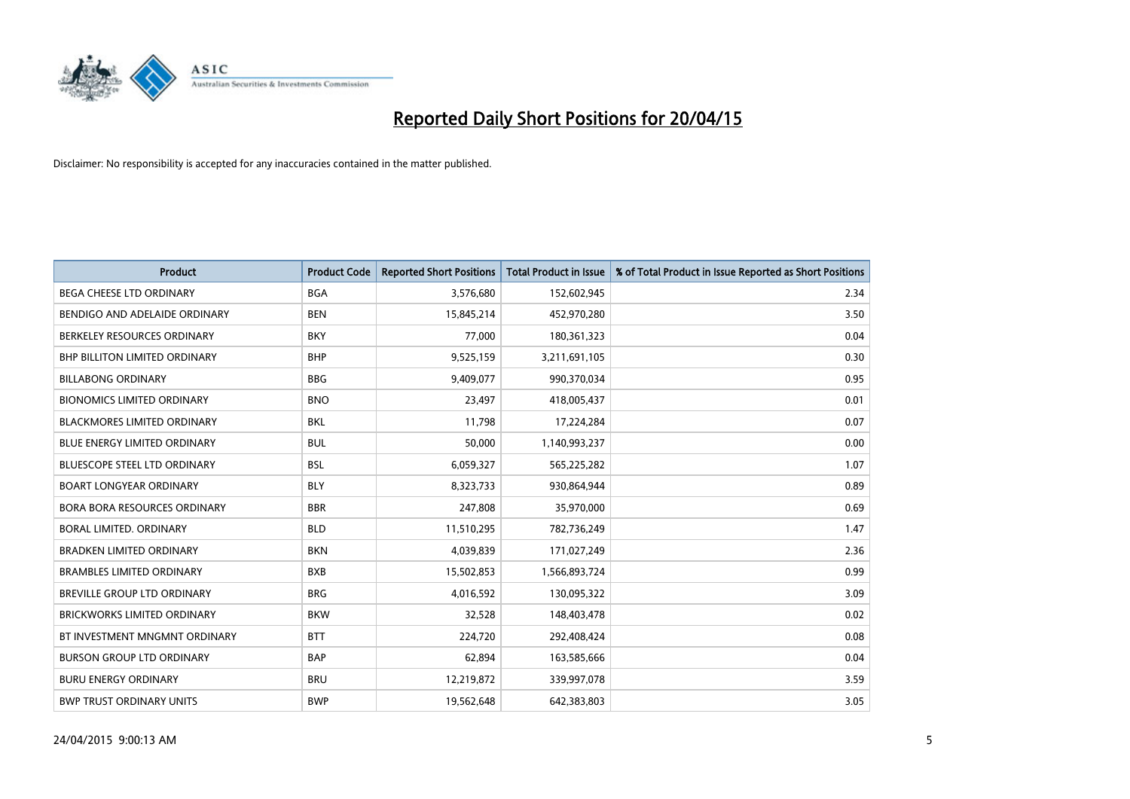

| <b>Product</b>                       | <b>Product Code</b> | <b>Reported Short Positions</b> | <b>Total Product in Issue</b> | % of Total Product in Issue Reported as Short Positions |
|--------------------------------------|---------------------|---------------------------------|-------------------------------|---------------------------------------------------------|
| <b>BEGA CHEESE LTD ORDINARY</b>      | <b>BGA</b>          | 3,576,680                       | 152,602,945                   | 2.34                                                    |
| BENDIGO AND ADELAIDE ORDINARY        | <b>BEN</b>          | 15,845,214                      | 452,970,280                   | 3.50                                                    |
| BERKELEY RESOURCES ORDINARY          | <b>BKY</b>          | 77,000                          | 180,361,323                   | 0.04                                                    |
| <b>BHP BILLITON LIMITED ORDINARY</b> | <b>BHP</b>          | 9,525,159                       | 3,211,691,105                 | 0.30                                                    |
| <b>BILLABONG ORDINARY</b>            | <b>BBG</b>          | 9,409,077                       | 990,370,034                   | 0.95                                                    |
| <b>BIONOMICS LIMITED ORDINARY</b>    | <b>BNO</b>          | 23,497                          | 418,005,437                   | 0.01                                                    |
| <b>BLACKMORES LIMITED ORDINARY</b>   | <b>BKL</b>          | 11,798                          | 17,224,284                    | 0.07                                                    |
| <b>BLUE ENERGY LIMITED ORDINARY</b>  | <b>BUL</b>          | 50,000                          | 1,140,993,237                 | 0.00                                                    |
| <b>BLUESCOPE STEEL LTD ORDINARY</b>  | <b>BSL</b>          | 6,059,327                       | 565,225,282                   | 1.07                                                    |
| <b>BOART LONGYEAR ORDINARY</b>       | <b>BLY</b>          | 8,323,733                       | 930,864,944                   | 0.89                                                    |
| BORA BORA RESOURCES ORDINARY         | <b>BBR</b>          | 247,808                         | 35,970,000                    | 0.69                                                    |
| <b>BORAL LIMITED, ORDINARY</b>       | <b>BLD</b>          | 11,510,295                      | 782,736,249                   | 1.47                                                    |
| <b>BRADKEN LIMITED ORDINARY</b>      | <b>BKN</b>          | 4,039,839                       | 171,027,249                   | 2.36                                                    |
| <b>BRAMBLES LIMITED ORDINARY</b>     | <b>BXB</b>          | 15,502,853                      | 1,566,893,724                 | 0.99                                                    |
| BREVILLE GROUP LTD ORDINARY          | <b>BRG</b>          | 4,016,592                       | 130,095,322                   | 3.09                                                    |
| BRICKWORKS LIMITED ORDINARY          | <b>BKW</b>          | 32,528                          | 148,403,478                   | 0.02                                                    |
| BT INVESTMENT MNGMNT ORDINARY        | <b>BTT</b>          | 224,720                         | 292,408,424                   | 0.08                                                    |
| <b>BURSON GROUP LTD ORDINARY</b>     | <b>BAP</b>          | 62,894                          | 163,585,666                   | 0.04                                                    |
| <b>BURU ENERGY ORDINARY</b>          | <b>BRU</b>          | 12,219,872                      | 339,997,078                   | 3.59                                                    |
| <b>BWP TRUST ORDINARY UNITS</b>      | <b>BWP</b>          | 19,562,648                      | 642,383,803                   | 3.05                                                    |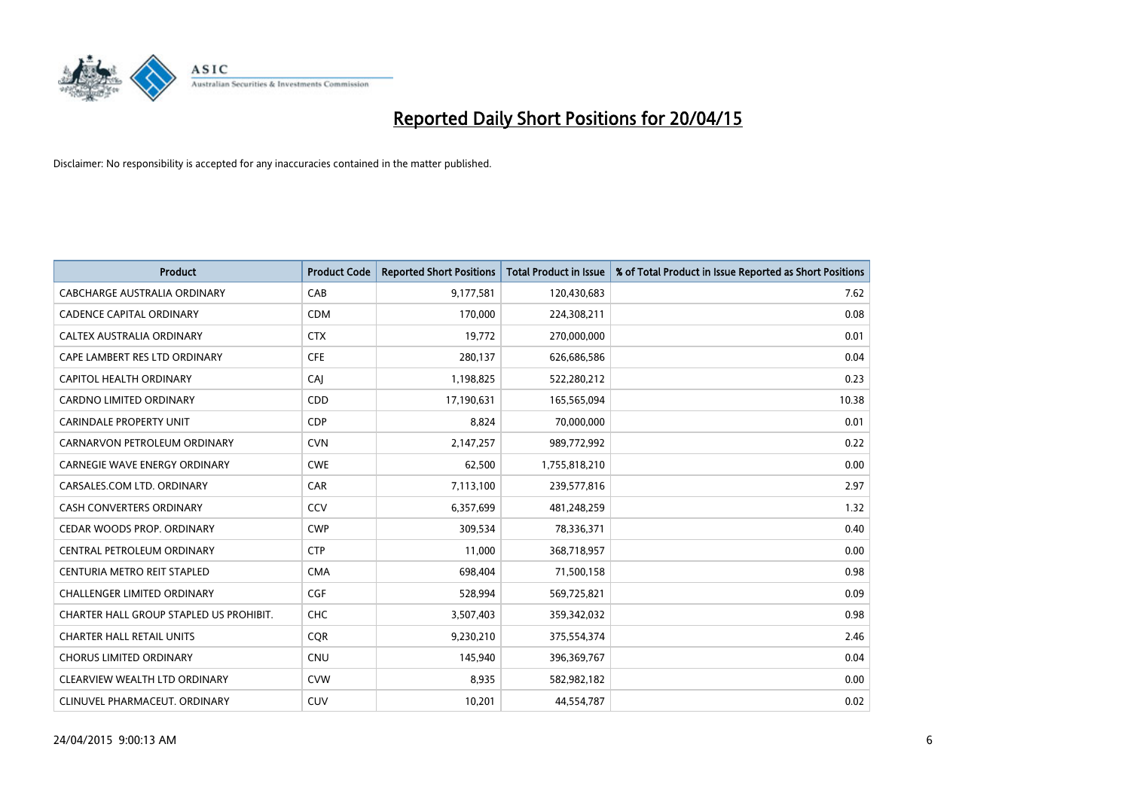

| <b>Product</b>                          | <b>Product Code</b> | <b>Reported Short Positions</b> | <b>Total Product in Issue</b> | % of Total Product in Issue Reported as Short Positions |
|-----------------------------------------|---------------------|---------------------------------|-------------------------------|---------------------------------------------------------|
| <b>CABCHARGE AUSTRALIA ORDINARY</b>     | CAB                 | 9,177,581                       | 120,430,683                   | 7.62                                                    |
| <b>CADENCE CAPITAL ORDINARY</b>         | <b>CDM</b>          | 170,000                         | 224,308,211                   | 0.08                                                    |
| CALTEX AUSTRALIA ORDINARY               | <b>CTX</b>          | 19,772                          | 270,000,000                   | 0.01                                                    |
| CAPE LAMBERT RES LTD ORDINARY           | <b>CFE</b>          | 280,137                         | 626,686,586                   | 0.04                                                    |
| <b>CAPITOL HEALTH ORDINARY</b>          | CAI                 | 1,198,825                       | 522,280,212                   | 0.23                                                    |
| CARDNO LIMITED ORDINARY                 | CDD                 | 17,190,631                      | 165,565,094                   | 10.38                                                   |
| <b>CARINDALE PROPERTY UNIT</b>          | <b>CDP</b>          | 8,824                           | 70,000,000                    | 0.01                                                    |
| CARNARVON PETROLEUM ORDINARY            | <b>CVN</b>          | 2,147,257                       | 989,772,992                   | 0.22                                                    |
| <b>CARNEGIE WAVE ENERGY ORDINARY</b>    | <b>CWE</b>          | 62,500                          | 1,755,818,210                 | 0.00                                                    |
| CARSALES.COM LTD. ORDINARY              | CAR                 | 7,113,100                       | 239,577,816                   | 2.97                                                    |
| <b>CASH CONVERTERS ORDINARY</b>         | CCV                 | 6,357,699                       | 481,248,259                   | 1.32                                                    |
| CEDAR WOODS PROP. ORDINARY              | <b>CWP</b>          | 309,534                         | 78,336,371                    | 0.40                                                    |
| CENTRAL PETROLEUM ORDINARY              | <b>CTP</b>          | 11,000                          | 368,718,957                   | 0.00                                                    |
| CENTURIA METRO REIT STAPLED             | <b>CMA</b>          | 698,404                         | 71,500,158                    | 0.98                                                    |
| <b>CHALLENGER LIMITED ORDINARY</b>      | <b>CGF</b>          | 528,994                         | 569,725,821                   | 0.09                                                    |
| CHARTER HALL GROUP STAPLED US PROHIBIT. | <b>CHC</b>          | 3,507,403                       | 359,342,032                   | 0.98                                                    |
| <b>CHARTER HALL RETAIL UNITS</b>        | <b>CQR</b>          | 9,230,210                       | 375,554,374                   | 2.46                                                    |
| <b>CHORUS LIMITED ORDINARY</b>          | <b>CNU</b>          | 145,940                         | 396,369,767                   | 0.04                                                    |
| CLEARVIEW WEALTH LTD ORDINARY           | <b>CVW</b>          | 8,935                           | 582,982,182                   | 0.00                                                    |
| CLINUVEL PHARMACEUT. ORDINARY           | <b>CUV</b>          | 10,201                          | 44,554,787                    | 0.02                                                    |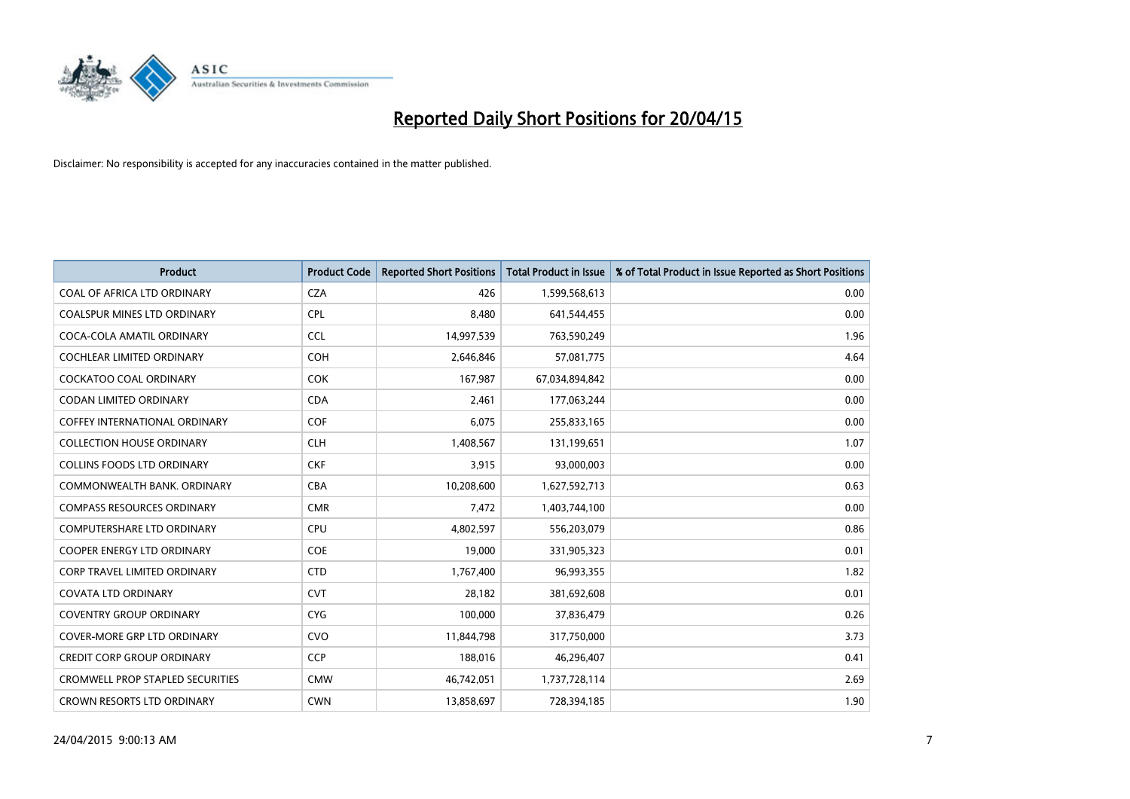

| <b>Product</b>                          | <b>Product Code</b> | <b>Reported Short Positions</b> | <b>Total Product in Issue</b> | % of Total Product in Issue Reported as Short Positions |
|-----------------------------------------|---------------------|---------------------------------|-------------------------------|---------------------------------------------------------|
| COAL OF AFRICA LTD ORDINARY             | <b>CZA</b>          | 426                             | 1,599,568,613                 | 0.00                                                    |
| COALSPUR MINES LTD ORDINARY             | <b>CPL</b>          | 8,480                           | 641,544,455                   | 0.00                                                    |
| COCA-COLA AMATIL ORDINARY               | <b>CCL</b>          | 14,997,539                      | 763,590,249                   | 1.96                                                    |
| COCHLEAR LIMITED ORDINARY               | <b>COH</b>          | 2,646,846                       | 57,081,775                    | 4.64                                                    |
| <b>COCKATOO COAL ORDINARY</b>           | <b>COK</b>          | 167,987                         | 67,034,894,842                | 0.00                                                    |
| <b>CODAN LIMITED ORDINARY</b>           | <b>CDA</b>          | 2,461                           | 177,063,244                   | 0.00                                                    |
| COFFEY INTERNATIONAL ORDINARY           | <b>COF</b>          | 6,075                           | 255,833,165                   | 0.00                                                    |
| <b>COLLECTION HOUSE ORDINARY</b>        | <b>CLH</b>          | 1,408,567                       | 131,199,651                   | 1.07                                                    |
| <b>COLLINS FOODS LTD ORDINARY</b>       | <b>CKF</b>          | 3,915                           | 93,000,003                    | 0.00                                                    |
| COMMONWEALTH BANK, ORDINARY             | <b>CBA</b>          | 10,208,600                      | 1,627,592,713                 | 0.63                                                    |
| <b>COMPASS RESOURCES ORDINARY</b>       | <b>CMR</b>          | 7,472                           | 1,403,744,100                 | 0.00                                                    |
| <b>COMPUTERSHARE LTD ORDINARY</b>       | <b>CPU</b>          | 4,802,597                       | 556,203,079                   | 0.86                                                    |
| <b>COOPER ENERGY LTD ORDINARY</b>       | <b>COE</b>          | 19,000                          | 331,905,323                   | 0.01                                                    |
| <b>CORP TRAVEL LIMITED ORDINARY</b>     | <b>CTD</b>          | 1,767,400                       | 96,993,355                    | 1.82                                                    |
| <b>COVATA LTD ORDINARY</b>              | <b>CVT</b>          | 28,182                          | 381,692,608                   | 0.01                                                    |
| <b>COVENTRY GROUP ORDINARY</b>          | <b>CYG</b>          | 100,000                         | 37,836,479                    | 0.26                                                    |
| COVER-MORE GRP LTD ORDINARY             | <b>CVO</b>          | 11,844,798                      | 317,750,000                   | 3.73                                                    |
| <b>CREDIT CORP GROUP ORDINARY</b>       | <b>CCP</b>          | 188,016                         | 46,296,407                    | 0.41                                                    |
| <b>CROMWELL PROP STAPLED SECURITIES</b> | <b>CMW</b>          | 46,742,051                      | 1,737,728,114                 | 2.69                                                    |
| CROWN RESORTS LTD ORDINARY              | <b>CWN</b>          | 13,858,697                      | 728,394,185                   | 1.90                                                    |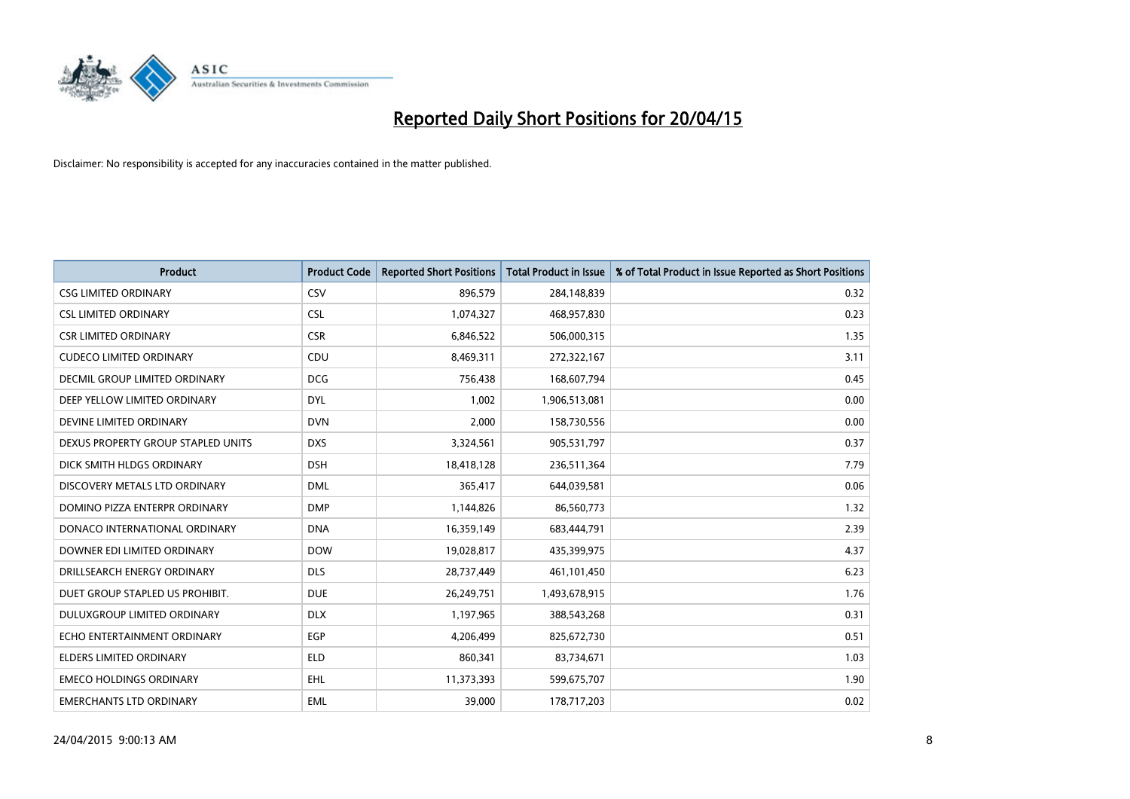

| <b>Product</b>                       | <b>Product Code</b> | <b>Reported Short Positions</b> | <b>Total Product in Issue</b> | % of Total Product in Issue Reported as Short Positions |
|--------------------------------------|---------------------|---------------------------------|-------------------------------|---------------------------------------------------------|
| <b>CSG LIMITED ORDINARY</b>          | CSV                 | 896,579                         | 284,148,839                   | 0.32                                                    |
| <b>CSL LIMITED ORDINARY</b>          | <b>CSL</b>          | 1,074,327                       | 468,957,830                   | 0.23                                                    |
| <b>CSR LIMITED ORDINARY</b>          | <b>CSR</b>          | 6,846,522                       | 506,000,315                   | 1.35                                                    |
| <b>CUDECO LIMITED ORDINARY</b>       | CDU                 | 8,469,311                       | 272,322,167                   | 3.11                                                    |
| <b>DECMIL GROUP LIMITED ORDINARY</b> | <b>DCG</b>          | 756,438                         | 168,607,794                   | 0.45                                                    |
| DEEP YELLOW LIMITED ORDINARY         | <b>DYL</b>          | 1,002                           | 1,906,513,081                 | 0.00                                                    |
| DEVINE LIMITED ORDINARY              | <b>DVN</b>          | 2,000                           | 158,730,556                   | 0.00                                                    |
| DEXUS PROPERTY GROUP STAPLED UNITS   | <b>DXS</b>          | 3,324,561                       | 905,531,797                   | 0.37                                                    |
| DICK SMITH HLDGS ORDINARY            | <b>DSH</b>          | 18,418,128                      | 236,511,364                   | 7.79                                                    |
| DISCOVERY METALS LTD ORDINARY        | <b>DML</b>          | 365,417                         | 644,039,581                   | 0.06                                                    |
| DOMINO PIZZA ENTERPR ORDINARY        | <b>DMP</b>          | 1,144,826                       | 86,560,773                    | 1.32                                                    |
| DONACO INTERNATIONAL ORDINARY        | <b>DNA</b>          | 16,359,149                      | 683,444,791                   | 2.39                                                    |
| DOWNER EDI LIMITED ORDINARY          | <b>DOW</b>          | 19,028,817                      | 435,399,975                   | 4.37                                                    |
| DRILLSEARCH ENERGY ORDINARY          | <b>DLS</b>          | 28,737,449                      | 461,101,450                   | 6.23                                                    |
| DUET GROUP STAPLED US PROHIBIT.      | <b>DUE</b>          | 26,249,751                      | 1,493,678,915                 | 1.76                                                    |
| DULUXGROUP LIMITED ORDINARY          | <b>DLX</b>          | 1,197,965                       | 388,543,268                   | 0.31                                                    |
| ECHO ENTERTAINMENT ORDINARY          | <b>EGP</b>          | 4,206,499                       | 825,672,730                   | 0.51                                                    |
| <b>ELDERS LIMITED ORDINARY</b>       | <b>ELD</b>          | 860,341                         | 83,734,671                    | 1.03                                                    |
| <b>EMECO HOLDINGS ORDINARY</b>       | <b>EHL</b>          | 11,373,393                      | 599,675,707                   | 1.90                                                    |
| <b>EMERCHANTS LTD ORDINARY</b>       | EML                 | 39,000                          | 178,717,203                   | 0.02                                                    |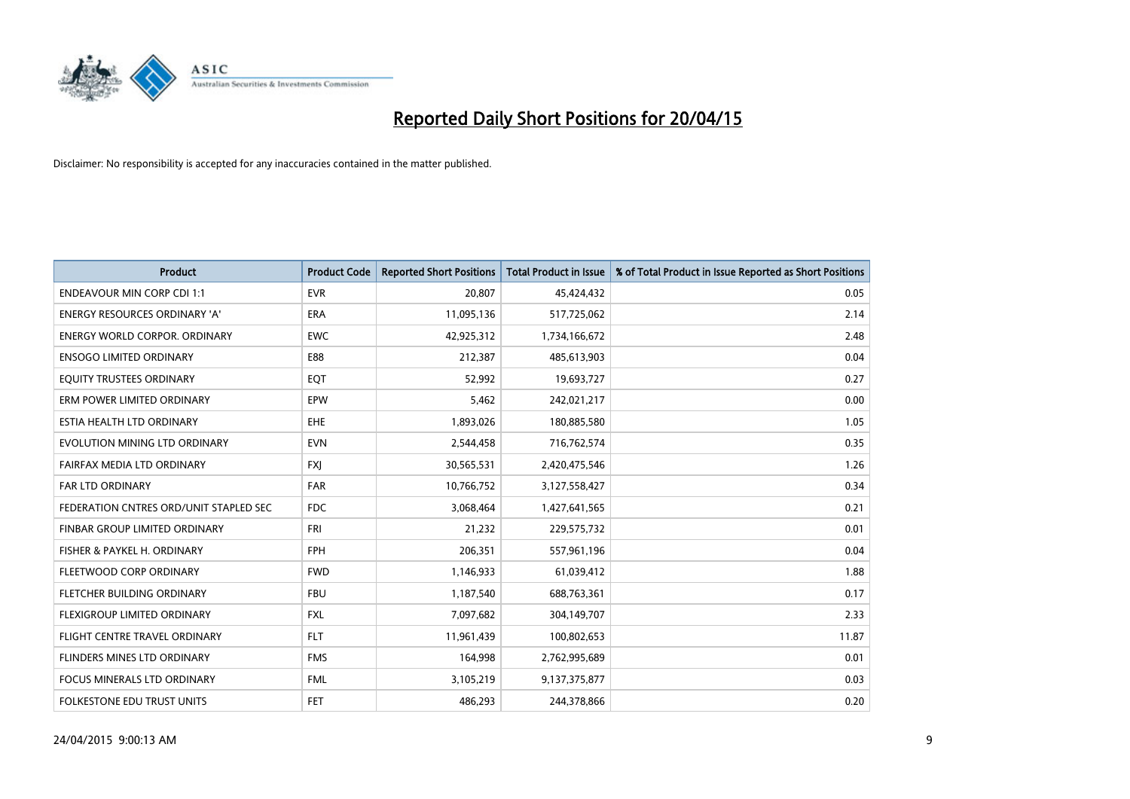

| <b>Product</b>                         | <b>Product Code</b> | <b>Reported Short Positions</b> | <b>Total Product in Issue</b> | % of Total Product in Issue Reported as Short Positions |
|----------------------------------------|---------------------|---------------------------------|-------------------------------|---------------------------------------------------------|
| <b>ENDEAVOUR MIN CORP CDI 1:1</b>      | <b>EVR</b>          | 20,807                          | 45,424,432                    | 0.05                                                    |
| ENERGY RESOURCES ORDINARY 'A'          | <b>ERA</b>          | 11,095,136                      | 517,725,062                   | 2.14                                                    |
| <b>ENERGY WORLD CORPOR, ORDINARY</b>   | <b>EWC</b>          | 42,925,312                      | 1,734,166,672                 | 2.48                                                    |
| <b>ENSOGO LIMITED ORDINARY</b>         | E88                 | 212,387                         | 485,613,903                   | 0.04                                                    |
| EQUITY TRUSTEES ORDINARY               | EQT                 | 52,992                          | 19,693,727                    | 0.27                                                    |
| ERM POWER LIMITED ORDINARY             | EPW                 | 5,462                           | 242,021,217                   | 0.00                                                    |
| ESTIA HEALTH LTD ORDINARY              | EHE                 | 1,893,026                       | 180,885,580                   | 1.05                                                    |
| EVOLUTION MINING LTD ORDINARY          | <b>EVN</b>          | 2,544,458                       | 716,762,574                   | 0.35                                                    |
| FAIRFAX MEDIA LTD ORDINARY             | <b>FXI</b>          | 30,565,531                      | 2,420,475,546                 | 1.26                                                    |
| <b>FAR LTD ORDINARY</b>                | <b>FAR</b>          | 10,766,752                      | 3,127,558,427                 | 0.34                                                    |
| FEDERATION CNTRES ORD/UNIT STAPLED SEC | <b>FDC</b>          | 3,068,464                       | 1,427,641,565                 | 0.21                                                    |
| FINBAR GROUP LIMITED ORDINARY          | <b>FRI</b>          | 21,232                          | 229,575,732                   | 0.01                                                    |
| FISHER & PAYKEL H. ORDINARY            | <b>FPH</b>          | 206,351                         | 557,961,196                   | 0.04                                                    |
| FLEETWOOD CORP ORDINARY                | <b>FWD</b>          | 1,146,933                       | 61,039,412                    | 1.88                                                    |
| FLETCHER BUILDING ORDINARY             | <b>FBU</b>          | 1,187,540                       | 688,763,361                   | 0.17                                                    |
| FLEXIGROUP LIMITED ORDINARY            | FXL                 | 7,097,682                       | 304,149,707                   | 2.33                                                    |
| FLIGHT CENTRE TRAVEL ORDINARY          | <b>FLT</b>          | 11,961,439                      | 100,802,653                   | 11.87                                                   |
| FLINDERS MINES LTD ORDINARY            | <b>FMS</b>          | 164,998                         | 2,762,995,689                 | 0.01                                                    |
| FOCUS MINERALS LTD ORDINARY            | <b>FML</b>          | 3,105,219                       | 9,137,375,877                 | 0.03                                                    |
| FOLKESTONE EDU TRUST UNITS             | <b>FET</b>          | 486,293                         | 244,378,866                   | 0.20                                                    |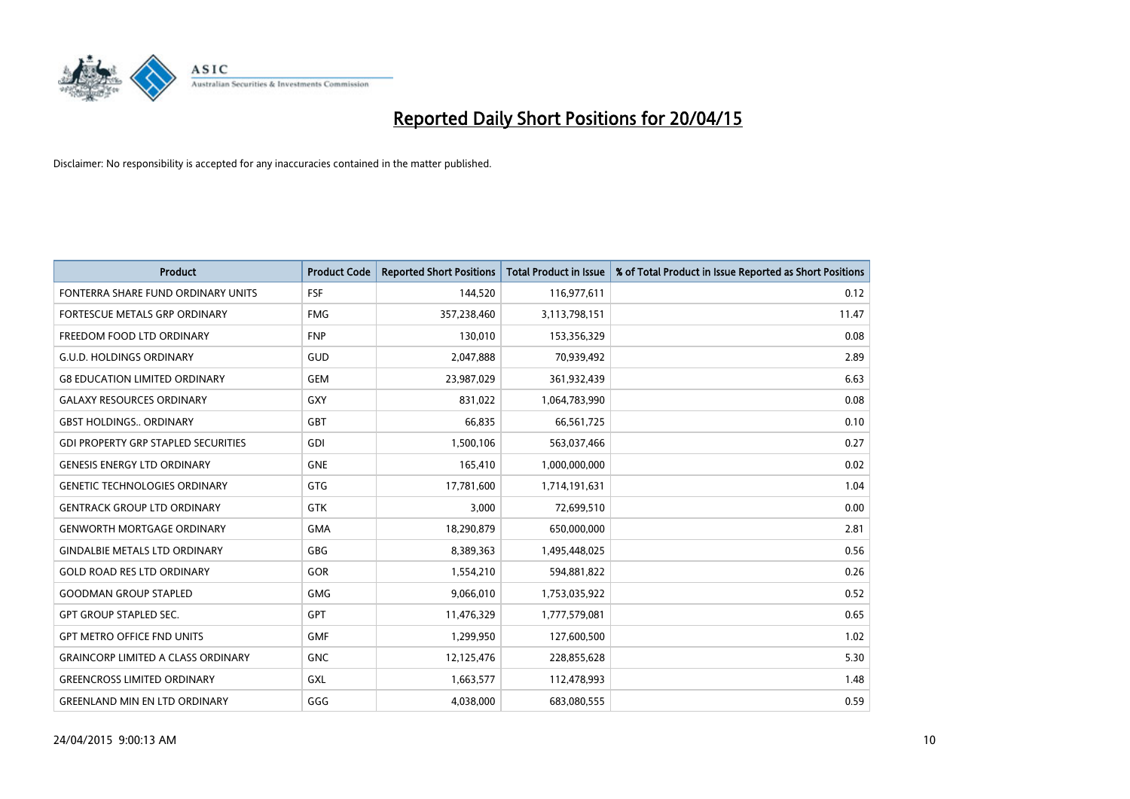

| <b>Product</b>                             | <b>Product Code</b> | <b>Reported Short Positions</b> | <b>Total Product in Issue</b> | % of Total Product in Issue Reported as Short Positions |
|--------------------------------------------|---------------------|---------------------------------|-------------------------------|---------------------------------------------------------|
| FONTERRA SHARE FUND ORDINARY UNITS         | <b>FSF</b>          | 144,520                         | 116,977,611                   | 0.12                                                    |
| FORTESCUE METALS GRP ORDINARY              | <b>FMG</b>          | 357,238,460                     | 3,113,798,151                 | 11.47                                                   |
| FREEDOM FOOD LTD ORDINARY                  | <b>FNP</b>          | 130,010                         | 153,356,329                   | 0.08                                                    |
| <b>G.U.D. HOLDINGS ORDINARY</b>            | GUD                 | 2,047,888                       | 70,939,492                    | 2.89                                                    |
| <b>G8 EDUCATION LIMITED ORDINARY</b>       | <b>GEM</b>          | 23,987,029                      | 361,932,439                   | 6.63                                                    |
| <b>GALAXY RESOURCES ORDINARY</b>           | GXY                 | 831,022                         | 1,064,783,990                 | 0.08                                                    |
| <b>GBST HOLDINGS ORDINARY</b>              | <b>GBT</b>          | 66,835                          | 66,561,725                    | 0.10                                                    |
| <b>GDI PROPERTY GRP STAPLED SECURITIES</b> | <b>GDI</b>          | 1,500,106                       | 563,037,466                   | 0.27                                                    |
| <b>GENESIS ENERGY LTD ORDINARY</b>         | <b>GNE</b>          | 165,410                         | 1,000,000,000                 | 0.02                                                    |
| <b>GENETIC TECHNOLOGIES ORDINARY</b>       | <b>GTG</b>          | 17,781,600                      | 1,714,191,631                 | 1.04                                                    |
| <b>GENTRACK GROUP LTD ORDINARY</b>         | <b>GTK</b>          | 3,000                           | 72,699,510                    | 0.00                                                    |
| <b>GENWORTH MORTGAGE ORDINARY</b>          | <b>GMA</b>          | 18,290,879                      | 650,000,000                   | 2.81                                                    |
| <b>GINDALBIE METALS LTD ORDINARY</b>       | GBG                 | 8,389,363                       | 1,495,448,025                 | 0.56                                                    |
| <b>GOLD ROAD RES LTD ORDINARY</b>          | <b>GOR</b>          | 1,554,210                       | 594,881,822                   | 0.26                                                    |
| <b>GOODMAN GROUP STAPLED</b>               | <b>GMG</b>          | 9,066,010                       | 1,753,035,922                 | 0.52                                                    |
| <b>GPT GROUP STAPLED SEC.</b>              | GPT                 | 11,476,329                      | 1,777,579,081                 | 0.65                                                    |
| <b>GPT METRO OFFICE FND UNITS</b>          | <b>GMF</b>          | 1,299,950                       | 127,600,500                   | 1.02                                                    |
| <b>GRAINCORP LIMITED A CLASS ORDINARY</b>  | <b>GNC</b>          | 12,125,476                      | 228,855,628                   | 5.30                                                    |
| <b>GREENCROSS LIMITED ORDINARY</b>         | <b>GXL</b>          | 1,663,577                       | 112,478,993                   | 1.48                                                    |
| <b>GREENLAND MIN EN LTD ORDINARY</b>       | GGG                 | 4,038,000                       | 683,080,555                   | 0.59                                                    |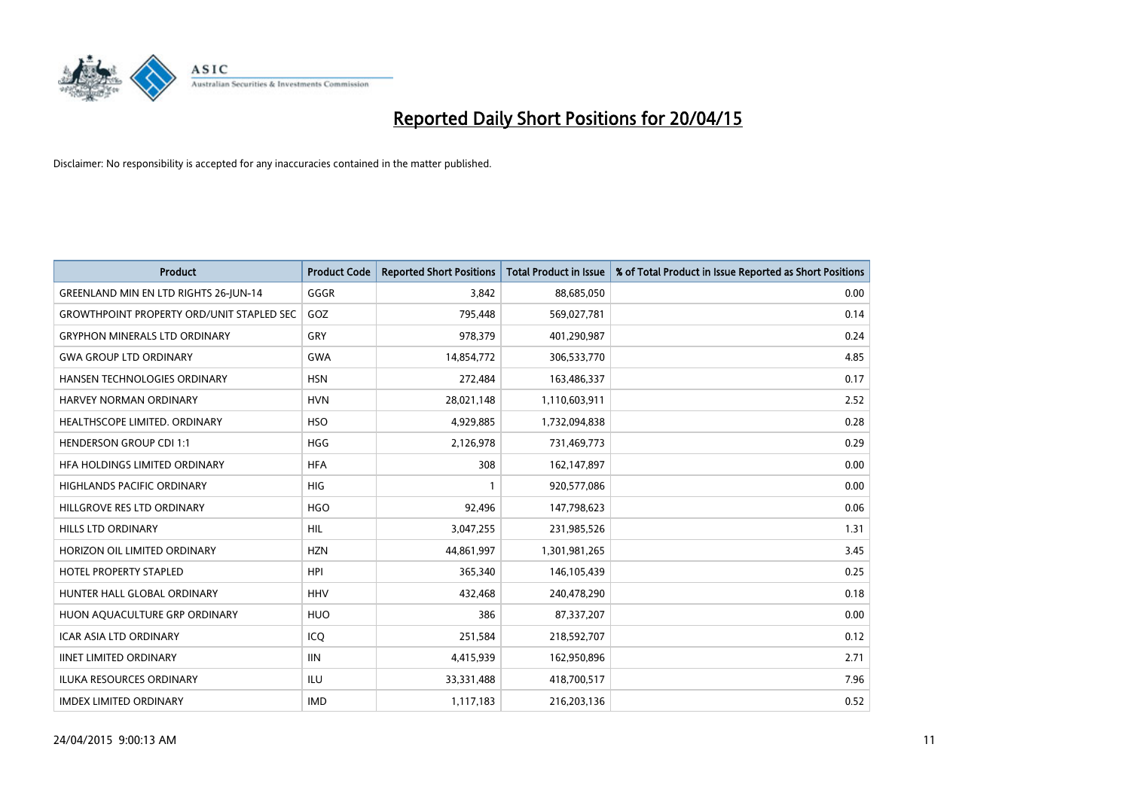

| <b>Product</b>                                   | <b>Product Code</b> | <b>Reported Short Positions</b> | <b>Total Product in Issue</b> | % of Total Product in Issue Reported as Short Positions |
|--------------------------------------------------|---------------------|---------------------------------|-------------------------------|---------------------------------------------------------|
| <b>GREENLAND MIN EN LTD RIGHTS 26-JUN-14</b>     | GGGR                | 3.842                           | 88,685,050                    | 0.00                                                    |
| <b>GROWTHPOINT PROPERTY ORD/UNIT STAPLED SEC</b> | GOZ                 | 795,448                         | 569,027,781                   | 0.14                                                    |
| <b>GRYPHON MINERALS LTD ORDINARY</b>             | GRY                 | 978,379                         | 401,290,987                   | 0.24                                                    |
| <b>GWA GROUP LTD ORDINARY</b>                    | <b>GWA</b>          | 14,854,772                      | 306,533,770                   | 4.85                                                    |
| HANSEN TECHNOLOGIES ORDINARY                     | <b>HSN</b>          | 272,484                         | 163,486,337                   | 0.17                                                    |
| HARVEY NORMAN ORDINARY                           | <b>HVN</b>          | 28,021,148                      | 1,110,603,911                 | 2.52                                                    |
| HEALTHSCOPE LIMITED. ORDINARY                    | <b>HSO</b>          | 4,929,885                       | 1,732,094,838                 | 0.28                                                    |
| <b>HENDERSON GROUP CDI 1:1</b>                   | <b>HGG</b>          | 2,126,978                       | 731,469,773                   | 0.29                                                    |
| HFA HOLDINGS LIMITED ORDINARY                    | <b>HFA</b>          | 308                             | 162,147,897                   | 0.00                                                    |
| <b>HIGHLANDS PACIFIC ORDINARY</b>                | <b>HIG</b>          | 1                               | 920,577,086                   | 0.00                                                    |
| HILLGROVE RES LTD ORDINARY                       | <b>HGO</b>          | 92,496                          | 147,798,623                   | 0.06                                                    |
| <b>HILLS LTD ORDINARY</b>                        | <b>HIL</b>          | 3,047,255                       | 231,985,526                   | 1.31                                                    |
| HORIZON OIL LIMITED ORDINARY                     | <b>HZN</b>          | 44,861,997                      | 1,301,981,265                 | 3.45                                                    |
| <b>HOTEL PROPERTY STAPLED</b>                    | <b>HPI</b>          | 365,340                         | 146,105,439                   | 0.25                                                    |
| HUNTER HALL GLOBAL ORDINARY                      | <b>HHV</b>          | 432,468                         | 240,478,290                   | 0.18                                                    |
| HUON AQUACULTURE GRP ORDINARY                    | <b>HUO</b>          | 386                             | 87,337,207                    | 0.00                                                    |
| ICAR ASIA LTD ORDINARY                           | ICQ                 | 251,584                         | 218,592,707                   | 0.12                                                    |
| <b>IINET LIMITED ORDINARY</b>                    | <b>IIN</b>          | 4,415,939                       | 162,950,896                   | 2.71                                                    |
| <b>ILUKA RESOURCES ORDINARY</b>                  | ILU                 | 33,331,488                      | 418,700,517                   | 7.96                                                    |
| <b>IMDEX LIMITED ORDINARY</b>                    | <b>IMD</b>          | 1,117,183                       | 216,203,136                   | 0.52                                                    |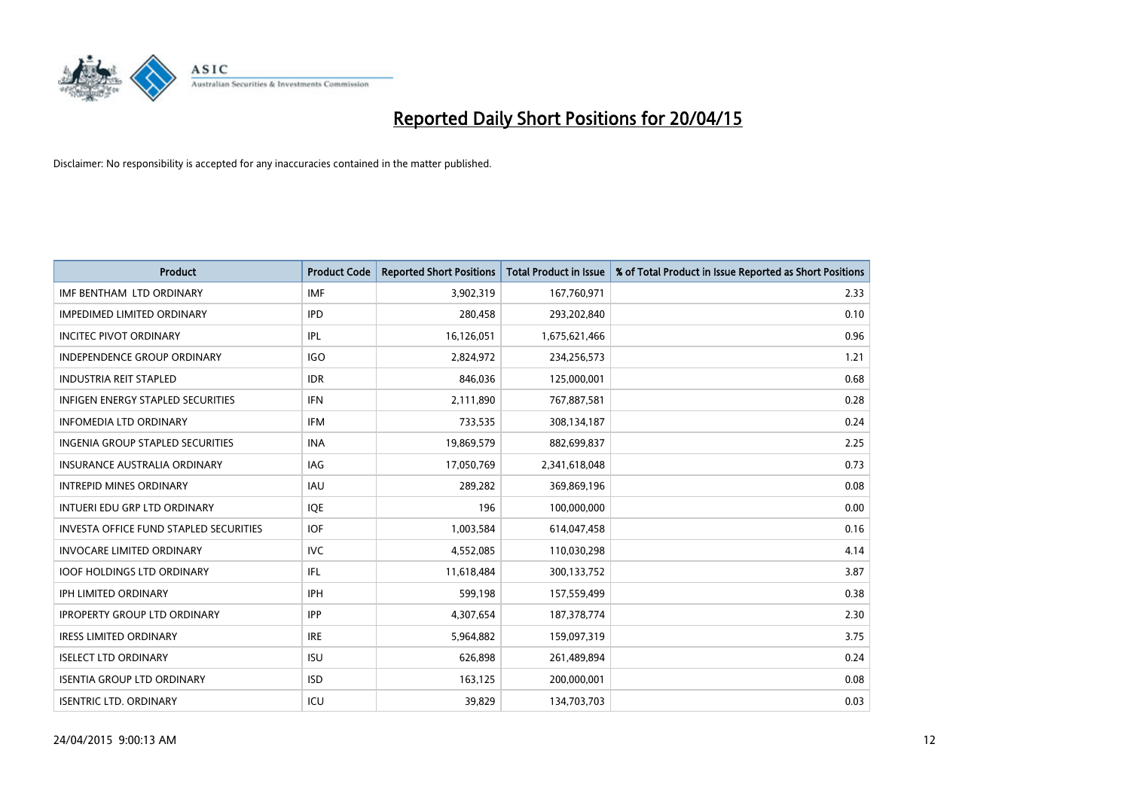

| <b>Product</b>                                | <b>Product Code</b> | <b>Reported Short Positions</b> | <b>Total Product in Issue</b> | % of Total Product in Issue Reported as Short Positions |
|-----------------------------------------------|---------------------|---------------------------------|-------------------------------|---------------------------------------------------------|
| IMF BENTHAM LTD ORDINARY                      | <b>IMF</b>          | 3,902,319                       | 167,760,971                   | 2.33                                                    |
| <b>IMPEDIMED LIMITED ORDINARY</b>             | <b>IPD</b>          | 280,458                         | 293,202,840                   | 0.10                                                    |
| <b>INCITEC PIVOT ORDINARY</b>                 | IPL                 | 16,126,051                      | 1,675,621,466                 | 0.96                                                    |
| INDEPENDENCE GROUP ORDINARY                   | <b>IGO</b>          | 2,824,972                       | 234,256,573                   | 1.21                                                    |
| <b>INDUSTRIA REIT STAPLED</b>                 | <b>IDR</b>          | 846,036                         | 125,000,001                   | 0.68                                                    |
| <b>INFIGEN ENERGY STAPLED SECURITIES</b>      | <b>IFN</b>          | 2,111,890                       | 767,887,581                   | 0.28                                                    |
| <b>INFOMEDIA LTD ORDINARY</b>                 | <b>IFM</b>          | 733,535                         | 308,134,187                   | 0.24                                                    |
| <b>INGENIA GROUP STAPLED SECURITIES</b>       | <b>INA</b>          | 19,869,579                      | 882,699,837                   | 2.25                                                    |
| INSURANCE AUSTRALIA ORDINARY                  | IAG                 | 17,050,769                      | 2,341,618,048                 | 0.73                                                    |
| <b>INTREPID MINES ORDINARY</b>                | <b>IAU</b>          | 289,282                         | 369,869,196                   | 0.08                                                    |
| INTUERI EDU GRP LTD ORDINARY                  | IQE                 | 196                             | 100,000,000                   | 0.00                                                    |
| <b>INVESTA OFFICE FUND STAPLED SECURITIES</b> | <b>IOF</b>          | 1,003,584                       | 614,047,458                   | 0.16                                                    |
| <b>INVOCARE LIMITED ORDINARY</b>              | <b>IVC</b>          | 4,552,085                       | 110,030,298                   | 4.14                                                    |
| <b>IOOF HOLDINGS LTD ORDINARY</b>             | IFL                 | 11,618,484                      | 300,133,752                   | 3.87                                                    |
| <b>IPH LIMITED ORDINARY</b>                   | IPH                 | 599,198                         | 157,559,499                   | 0.38                                                    |
| <b>IPROPERTY GROUP LTD ORDINARY</b>           | <b>IPP</b>          | 4,307,654                       | 187, 378, 774                 | 2.30                                                    |
| <b>IRESS LIMITED ORDINARY</b>                 | <b>IRE</b>          | 5,964,882                       | 159,097,319                   | 3.75                                                    |
| <b>ISELECT LTD ORDINARY</b>                   | <b>ISU</b>          | 626,898                         | 261,489,894                   | 0.24                                                    |
| <b>ISENTIA GROUP LTD ORDINARY</b>             | <b>ISD</b>          | 163,125                         | 200,000,001                   | 0.08                                                    |
| <b>ISENTRIC LTD. ORDINARY</b>                 | ICU                 | 39,829                          | 134,703,703                   | 0.03                                                    |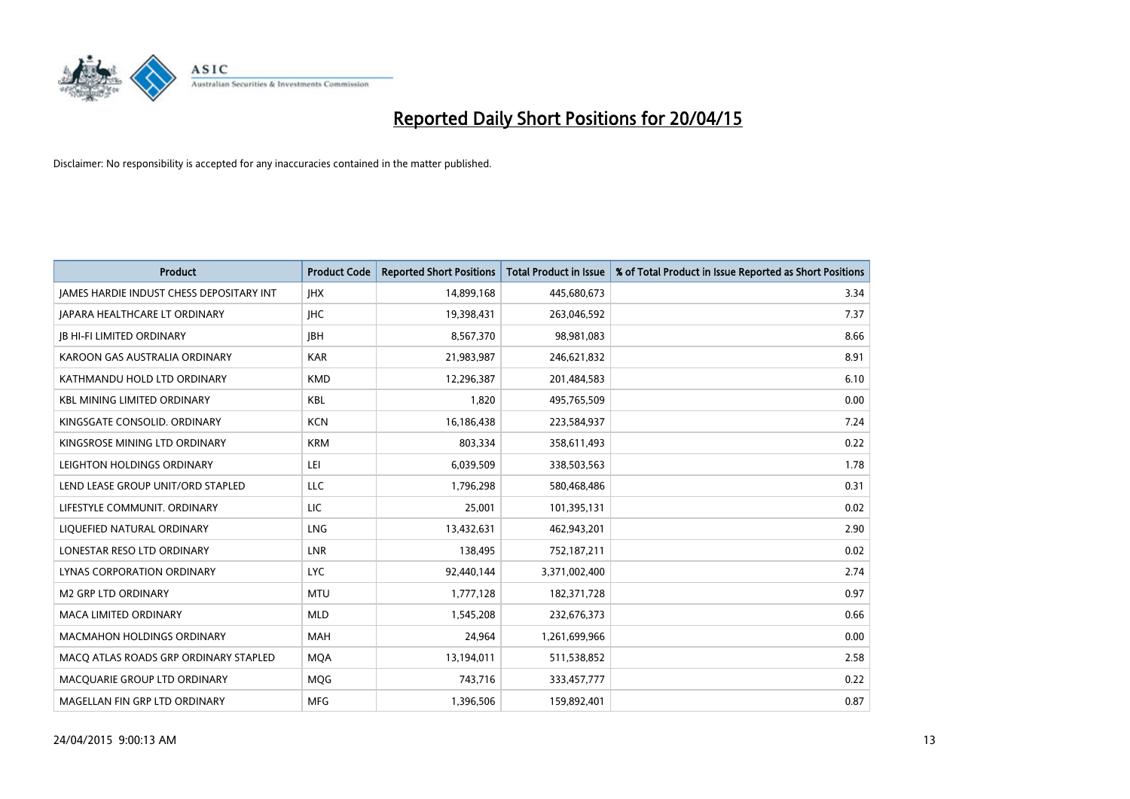

| <b>Product</b>                                  | <b>Product Code</b> | <b>Reported Short Positions</b> | <b>Total Product in Issue</b> | % of Total Product in Issue Reported as Short Positions |
|-------------------------------------------------|---------------------|---------------------------------|-------------------------------|---------------------------------------------------------|
| <b>JAMES HARDIE INDUST CHESS DEPOSITARY INT</b> | <b>IHX</b>          | 14,899,168                      | 445,680,673                   | 3.34                                                    |
| <b>JAPARA HEALTHCARE LT ORDINARY</b>            | <b>IHC</b>          | 19,398,431                      | 263,046,592                   | 7.37                                                    |
| <b>JB HI-FI LIMITED ORDINARY</b>                | <b>JBH</b>          | 8,567,370                       | 98,981,083                    | 8.66                                                    |
| KAROON GAS AUSTRALIA ORDINARY                   | <b>KAR</b>          | 21,983,987                      | 246,621,832                   | 8.91                                                    |
| KATHMANDU HOLD LTD ORDINARY                     | <b>KMD</b>          | 12,296,387                      | 201,484,583                   | 6.10                                                    |
| <b>KBL MINING LIMITED ORDINARY</b>              | <b>KBL</b>          | 1,820                           | 495,765,509                   | 0.00                                                    |
| KINGSGATE CONSOLID. ORDINARY                    | <b>KCN</b>          | 16,186,438                      | 223,584,937                   | 7.24                                                    |
| KINGSROSE MINING LTD ORDINARY                   | <b>KRM</b>          | 803,334                         | 358,611,493                   | 0.22                                                    |
| LEIGHTON HOLDINGS ORDINARY                      | LEI                 | 6,039,509                       | 338,503,563                   | 1.78                                                    |
| LEND LEASE GROUP UNIT/ORD STAPLED               | <b>LLC</b>          | 1,796,298                       | 580,468,486                   | 0.31                                                    |
| LIFESTYLE COMMUNIT. ORDINARY                    | LIC                 | 25,001                          | 101,395,131                   | 0.02                                                    |
| LIQUEFIED NATURAL ORDINARY                      | <b>LNG</b>          | 13,432,631                      | 462,943,201                   | 2.90                                                    |
| LONESTAR RESO LTD ORDINARY                      | <b>LNR</b>          | 138,495                         | 752,187,211                   | 0.02                                                    |
| LYNAS CORPORATION ORDINARY                      | <b>LYC</b>          | 92,440,144                      | 3,371,002,400                 | 2.74                                                    |
| <b>M2 GRP LTD ORDINARY</b>                      | <b>MTU</b>          | 1,777,128                       | 182,371,728                   | 0.97                                                    |
| MACA LIMITED ORDINARY                           | <b>MLD</b>          | 1,545,208                       | 232,676,373                   | 0.66                                                    |
| <b>MACMAHON HOLDINGS ORDINARY</b>               | <b>MAH</b>          | 24,964                          | 1,261,699,966                 | 0.00                                                    |
| MACQ ATLAS ROADS GRP ORDINARY STAPLED           | <b>MQA</b>          | 13,194,011                      | 511,538,852                   | 2.58                                                    |
| MACOUARIE GROUP LTD ORDINARY                    | <b>MOG</b>          | 743,716                         | 333,457,777                   | 0.22                                                    |
| MAGELLAN FIN GRP LTD ORDINARY                   | <b>MFG</b>          | 1,396,506                       | 159,892,401                   | 0.87                                                    |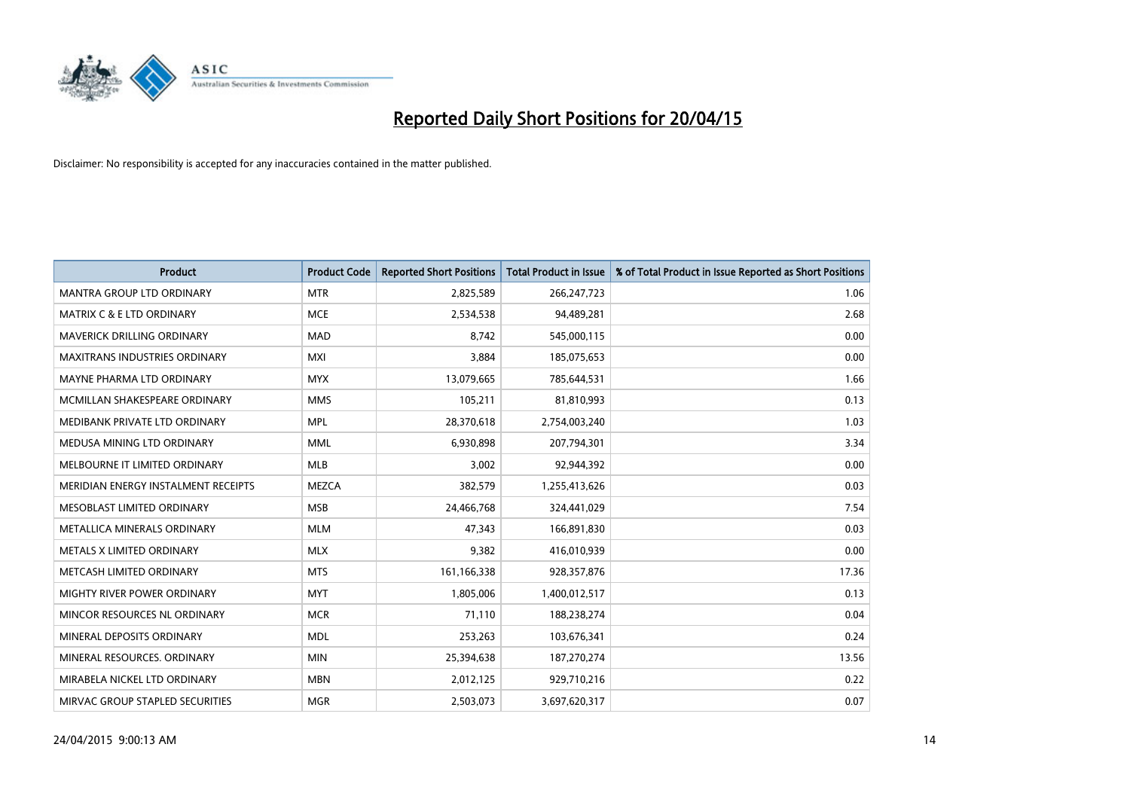

| <b>Product</b>                       | <b>Product Code</b> | <b>Reported Short Positions</b> | <b>Total Product in Issue</b> | % of Total Product in Issue Reported as Short Positions |
|--------------------------------------|---------------------|---------------------------------|-------------------------------|---------------------------------------------------------|
| <b>MANTRA GROUP LTD ORDINARY</b>     | <b>MTR</b>          | 2,825,589                       | 266,247,723                   | 1.06                                                    |
| <b>MATRIX C &amp; E LTD ORDINARY</b> | <b>MCE</b>          | 2,534,538                       | 94,489,281                    | 2.68                                                    |
| <b>MAVERICK DRILLING ORDINARY</b>    | <b>MAD</b>          | 8,742                           | 545,000,115                   | 0.00                                                    |
| <b>MAXITRANS INDUSTRIES ORDINARY</b> | <b>MXI</b>          | 3,884                           | 185,075,653                   | 0.00                                                    |
| MAYNE PHARMA LTD ORDINARY            | <b>MYX</b>          | 13,079,665                      | 785,644,531                   | 1.66                                                    |
| MCMILLAN SHAKESPEARE ORDINARY        | <b>MMS</b>          | 105,211                         | 81,810,993                    | 0.13                                                    |
| MEDIBANK PRIVATE LTD ORDINARY        | <b>MPL</b>          | 28,370,618                      | 2,754,003,240                 | 1.03                                                    |
| MEDUSA MINING LTD ORDINARY           | <b>MML</b>          | 6,930,898                       | 207,794,301                   | 3.34                                                    |
| MELBOURNE IT LIMITED ORDINARY        | <b>MLB</b>          | 3,002                           | 92,944,392                    | 0.00                                                    |
| MERIDIAN ENERGY INSTALMENT RECEIPTS  | <b>MEZCA</b>        | 382,579                         | 1,255,413,626                 | 0.03                                                    |
| MESOBLAST LIMITED ORDINARY           | <b>MSB</b>          | 24,466,768                      | 324,441,029                   | 7.54                                                    |
| METALLICA MINERALS ORDINARY          | <b>MLM</b>          | 47,343                          | 166,891,830                   | 0.03                                                    |
| METALS X LIMITED ORDINARY            | <b>MLX</b>          | 9,382                           | 416,010,939                   | 0.00                                                    |
| METCASH LIMITED ORDINARY             | <b>MTS</b>          | 161,166,338                     | 928,357,876                   | 17.36                                                   |
| MIGHTY RIVER POWER ORDINARY          | <b>MYT</b>          | 1,805,006                       | 1,400,012,517                 | 0.13                                                    |
| MINCOR RESOURCES NL ORDINARY         | <b>MCR</b>          | 71,110                          | 188,238,274                   | 0.04                                                    |
| MINERAL DEPOSITS ORDINARY            | <b>MDL</b>          | 253,263                         | 103,676,341                   | 0.24                                                    |
| MINERAL RESOURCES. ORDINARY          | <b>MIN</b>          | 25,394,638                      | 187,270,274                   | 13.56                                                   |
| MIRABELA NICKEL LTD ORDINARY         | <b>MBN</b>          | 2,012,125                       | 929,710,216                   | 0.22                                                    |
| MIRVAC GROUP STAPLED SECURITIES      | <b>MGR</b>          | 2,503,073                       | 3,697,620,317                 | 0.07                                                    |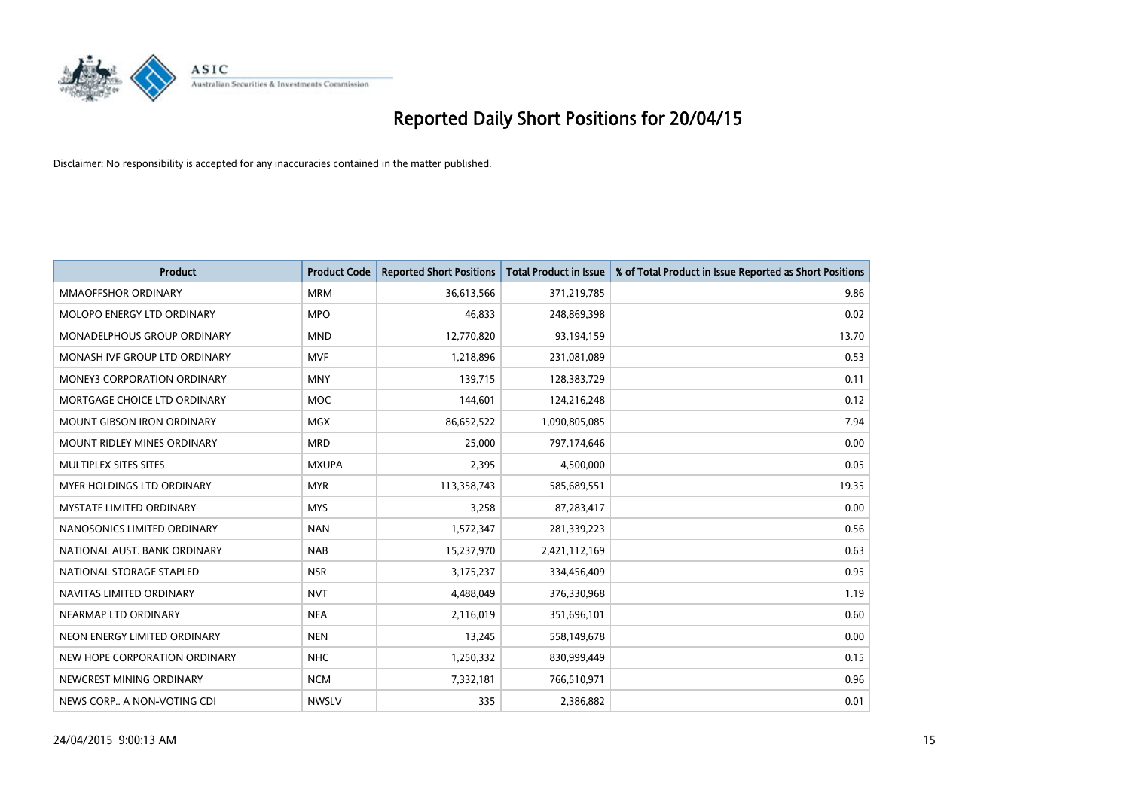

| <b>Product</b>                     | <b>Product Code</b> | <b>Reported Short Positions</b> | <b>Total Product in Issue</b> | % of Total Product in Issue Reported as Short Positions |
|------------------------------------|---------------------|---------------------------------|-------------------------------|---------------------------------------------------------|
| <b>MMAOFFSHOR ORDINARY</b>         | <b>MRM</b>          | 36,613,566                      | 371,219,785                   | 9.86                                                    |
| MOLOPO ENERGY LTD ORDINARY         | <b>MPO</b>          | 46.833                          | 248,869,398                   | 0.02                                                    |
| <b>MONADELPHOUS GROUP ORDINARY</b> | <b>MND</b>          | 12,770,820                      | 93,194,159                    | 13.70                                                   |
| MONASH IVF GROUP LTD ORDINARY      | <b>MVF</b>          | 1,218,896                       | 231,081,089                   | 0.53                                                    |
| <b>MONEY3 CORPORATION ORDINARY</b> | <b>MNY</b>          | 139,715                         | 128,383,729                   | 0.11                                                    |
| MORTGAGE CHOICE LTD ORDINARY       | <b>MOC</b>          | 144,601                         | 124,216,248                   | 0.12                                                    |
| MOUNT GIBSON IRON ORDINARY         | <b>MGX</b>          | 86,652,522                      | 1,090,805,085                 | 7.94                                                    |
| MOUNT RIDLEY MINES ORDINARY        | <b>MRD</b>          | 25,000                          | 797,174,646                   | 0.00                                                    |
| MULTIPLEX SITES SITES              | <b>MXUPA</b>        | 2,395                           | 4,500,000                     | 0.05                                                    |
| MYER HOLDINGS LTD ORDINARY         | <b>MYR</b>          | 113,358,743                     | 585,689,551                   | 19.35                                                   |
| MYSTATE LIMITED ORDINARY           | <b>MYS</b>          | 3,258                           | 87,283,417                    | 0.00                                                    |
| NANOSONICS LIMITED ORDINARY        | <b>NAN</b>          | 1,572,347                       | 281,339,223                   | 0.56                                                    |
| NATIONAL AUST. BANK ORDINARY       | <b>NAB</b>          | 15,237,970                      | 2,421,112,169                 | 0.63                                                    |
| NATIONAL STORAGE STAPLED           | <b>NSR</b>          | 3,175,237                       | 334,456,409                   | 0.95                                                    |
| NAVITAS LIMITED ORDINARY           | <b>NVT</b>          | 4,488,049                       | 376,330,968                   | 1.19                                                    |
| NEARMAP LTD ORDINARY               | <b>NEA</b>          | 2,116,019                       | 351,696,101                   | 0.60                                                    |
| NEON ENERGY LIMITED ORDINARY       | <b>NEN</b>          | 13,245                          | 558,149,678                   | 0.00                                                    |
| NEW HOPE CORPORATION ORDINARY      | <b>NHC</b>          | 1,250,332                       | 830,999,449                   | 0.15                                                    |
| NEWCREST MINING ORDINARY           | <b>NCM</b>          | 7,332,181                       | 766,510,971                   | 0.96                                                    |
| NEWS CORP A NON-VOTING CDI         | <b>NWSLV</b>        | 335                             | 2,386,882                     | 0.01                                                    |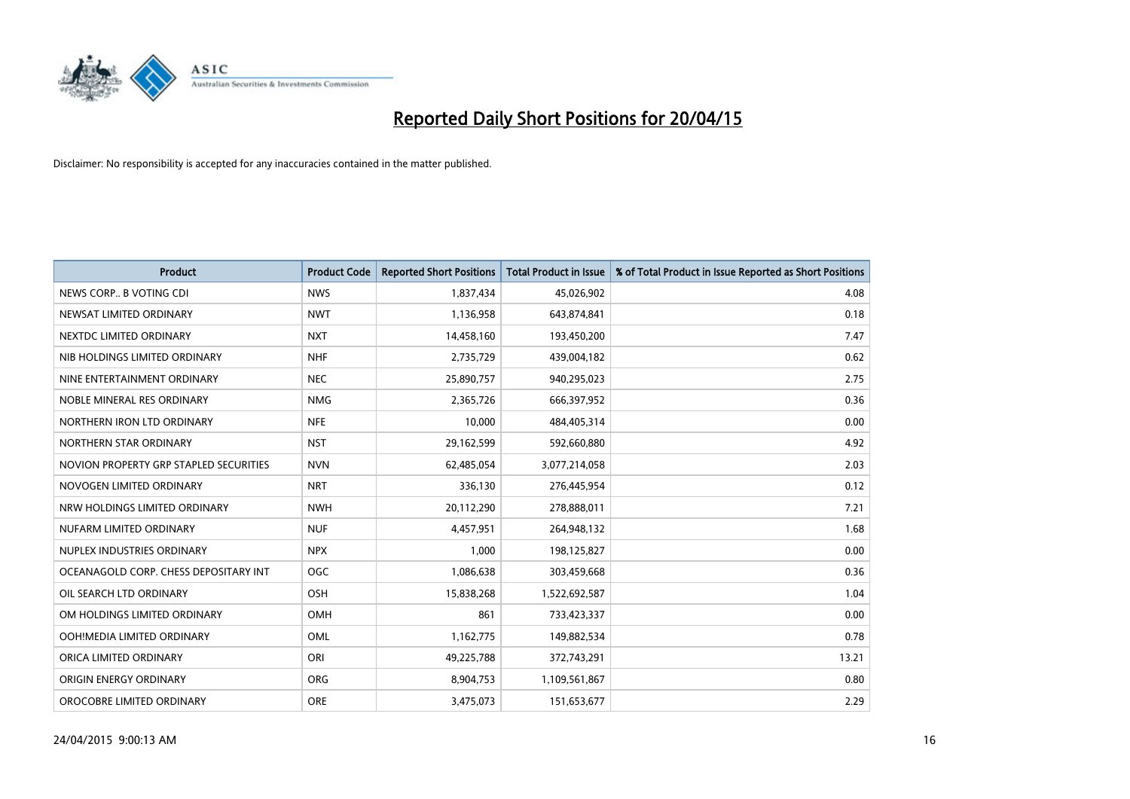

| <b>Product</b>                         | <b>Product Code</b> | <b>Reported Short Positions</b> | <b>Total Product in Issue</b> | % of Total Product in Issue Reported as Short Positions |
|----------------------------------------|---------------------|---------------------------------|-------------------------------|---------------------------------------------------------|
| NEWS CORP B VOTING CDI                 | <b>NWS</b>          | 1,837,434                       | 45,026,902                    | 4.08                                                    |
| NEWSAT LIMITED ORDINARY                | <b>NWT</b>          | 1,136,958                       | 643,874,841                   | 0.18                                                    |
| NEXTDC LIMITED ORDINARY                | <b>NXT</b>          | 14,458,160                      | 193,450,200                   | 7.47                                                    |
| NIB HOLDINGS LIMITED ORDINARY          | <b>NHF</b>          | 2,735,729                       | 439,004,182                   | 0.62                                                    |
| NINE ENTERTAINMENT ORDINARY            | <b>NEC</b>          | 25,890,757                      | 940,295,023                   | 2.75                                                    |
| NOBLE MINERAL RES ORDINARY             | <b>NMG</b>          | 2,365,726                       | 666,397,952                   | 0.36                                                    |
| NORTHERN IRON LTD ORDINARY             | <b>NFE</b>          | 10,000                          | 484,405,314                   | 0.00                                                    |
| NORTHERN STAR ORDINARY                 | <b>NST</b>          | 29,162,599                      | 592,660,880                   | 4.92                                                    |
| NOVION PROPERTY GRP STAPLED SECURITIES | <b>NVN</b>          | 62,485,054                      | 3,077,214,058                 | 2.03                                                    |
| NOVOGEN LIMITED ORDINARY               | <b>NRT</b>          | 336,130                         | 276,445,954                   | 0.12                                                    |
| NRW HOLDINGS LIMITED ORDINARY          | <b>NWH</b>          | 20,112,290                      | 278,888,011                   | 7.21                                                    |
| NUFARM LIMITED ORDINARY                | <b>NUF</b>          | 4,457,951                       | 264,948,132                   | 1.68                                                    |
| NUPLEX INDUSTRIES ORDINARY             | <b>NPX</b>          | 1,000                           | 198,125,827                   | 0.00                                                    |
| OCEANAGOLD CORP. CHESS DEPOSITARY INT  | <b>OGC</b>          | 1,086,638                       | 303,459,668                   | 0.36                                                    |
| OIL SEARCH LTD ORDINARY                | OSH                 | 15,838,268                      | 1,522,692,587                 | 1.04                                                    |
| OM HOLDINGS LIMITED ORDINARY           | OMH                 | 861                             | 733,423,337                   | 0.00                                                    |
| OOH!MEDIA LIMITED ORDINARY             | OML                 | 1,162,775                       | 149,882,534                   | 0.78                                                    |
| ORICA LIMITED ORDINARY                 | ORI                 | 49,225,788                      | 372,743,291                   | 13.21                                                   |
| ORIGIN ENERGY ORDINARY                 | <b>ORG</b>          | 8,904,753                       | 1,109,561,867                 | 0.80                                                    |
| OROCOBRE LIMITED ORDINARY              | <b>ORE</b>          | 3,475,073                       | 151,653,677                   | 2.29                                                    |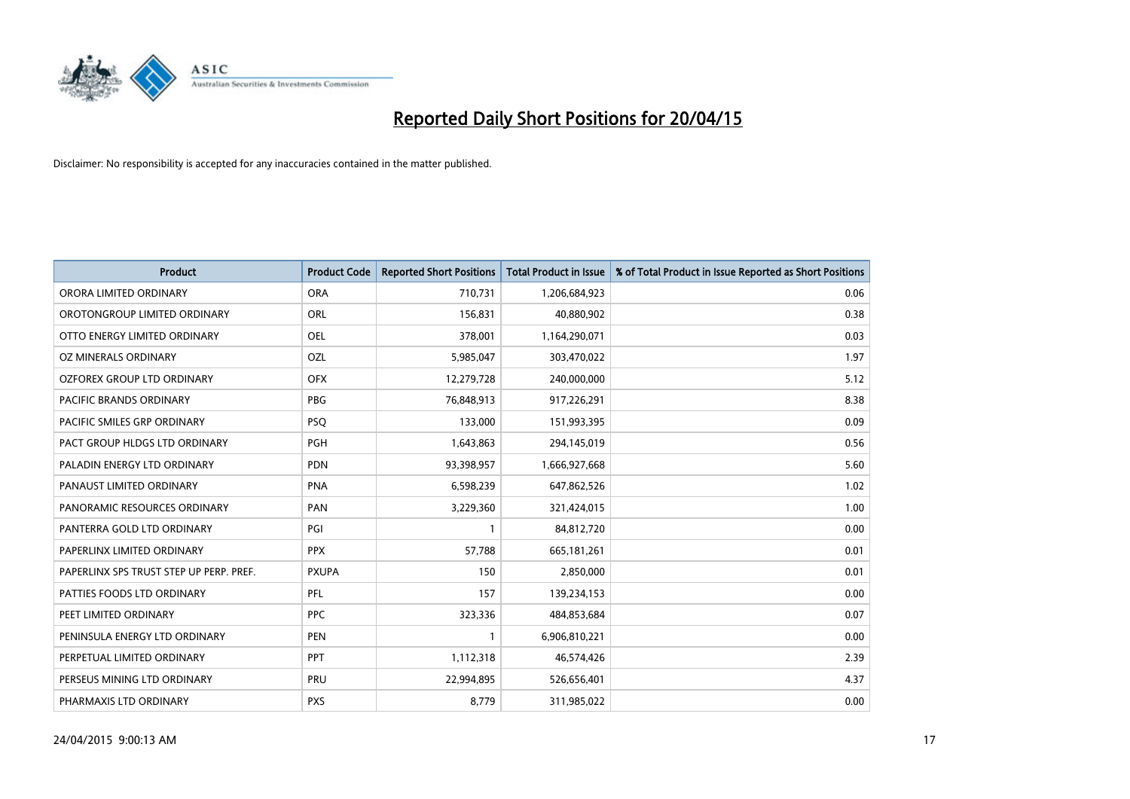

| <b>Product</b>                          | <b>Product Code</b> | <b>Reported Short Positions</b> | <b>Total Product in Issue</b> | % of Total Product in Issue Reported as Short Positions |
|-----------------------------------------|---------------------|---------------------------------|-------------------------------|---------------------------------------------------------|
| ORORA LIMITED ORDINARY                  | <b>ORA</b>          | 710,731                         | 1,206,684,923                 | 0.06                                                    |
| OROTONGROUP LIMITED ORDINARY            | ORL                 | 156,831                         | 40,880,902                    | 0.38                                                    |
| OTTO ENERGY LIMITED ORDINARY            | <b>OEL</b>          | 378,001                         | 1,164,290,071                 | 0.03                                                    |
| OZ MINERALS ORDINARY                    | OZL                 | 5,985,047                       | 303,470,022                   | 1.97                                                    |
| <b>OZFOREX GROUP LTD ORDINARY</b>       | <b>OFX</b>          | 12,279,728                      | 240,000,000                   | 5.12                                                    |
| <b>PACIFIC BRANDS ORDINARY</b>          | <b>PBG</b>          | 76,848,913                      | 917,226,291                   | 8.38                                                    |
| PACIFIC SMILES GRP ORDINARY             | <b>PSQ</b>          | 133,000                         | 151,993,395                   | 0.09                                                    |
| PACT GROUP HLDGS LTD ORDINARY           | <b>PGH</b>          | 1,643,863                       | 294,145,019                   | 0.56                                                    |
| PALADIN ENERGY LTD ORDINARY             | <b>PDN</b>          | 93,398,957                      | 1,666,927,668                 | 5.60                                                    |
| PANAUST LIMITED ORDINARY                | <b>PNA</b>          | 6,598,239                       | 647,862,526                   | 1.02                                                    |
| PANORAMIC RESOURCES ORDINARY            | PAN                 | 3,229,360                       | 321,424,015                   | 1.00                                                    |
| PANTERRA GOLD LTD ORDINARY              | PGI                 | 1                               | 84,812,720                    | 0.00                                                    |
| PAPERLINX LIMITED ORDINARY              | <b>PPX</b>          | 57,788                          | 665, 181, 261                 | 0.01                                                    |
| PAPERLINX SPS TRUST STEP UP PERP. PREF. | <b>PXUPA</b>        | 150                             | 2,850,000                     | 0.01                                                    |
| PATTIES FOODS LTD ORDINARY              | PFL                 | 157                             | 139,234,153                   | 0.00                                                    |
| PEET LIMITED ORDINARY                   | <b>PPC</b>          | 323,336                         | 484,853,684                   | 0.07                                                    |
| PENINSULA ENERGY LTD ORDINARY           | <b>PEN</b>          | 1                               | 6,906,810,221                 | 0.00                                                    |
| PERPETUAL LIMITED ORDINARY              | <b>PPT</b>          | 1,112,318                       | 46,574,426                    | 2.39                                                    |
| PERSEUS MINING LTD ORDINARY             | PRU                 | 22,994,895                      | 526,656,401                   | 4.37                                                    |
| PHARMAXIS LTD ORDINARY                  | <b>PXS</b>          | 8,779                           | 311,985,022                   | 0.00                                                    |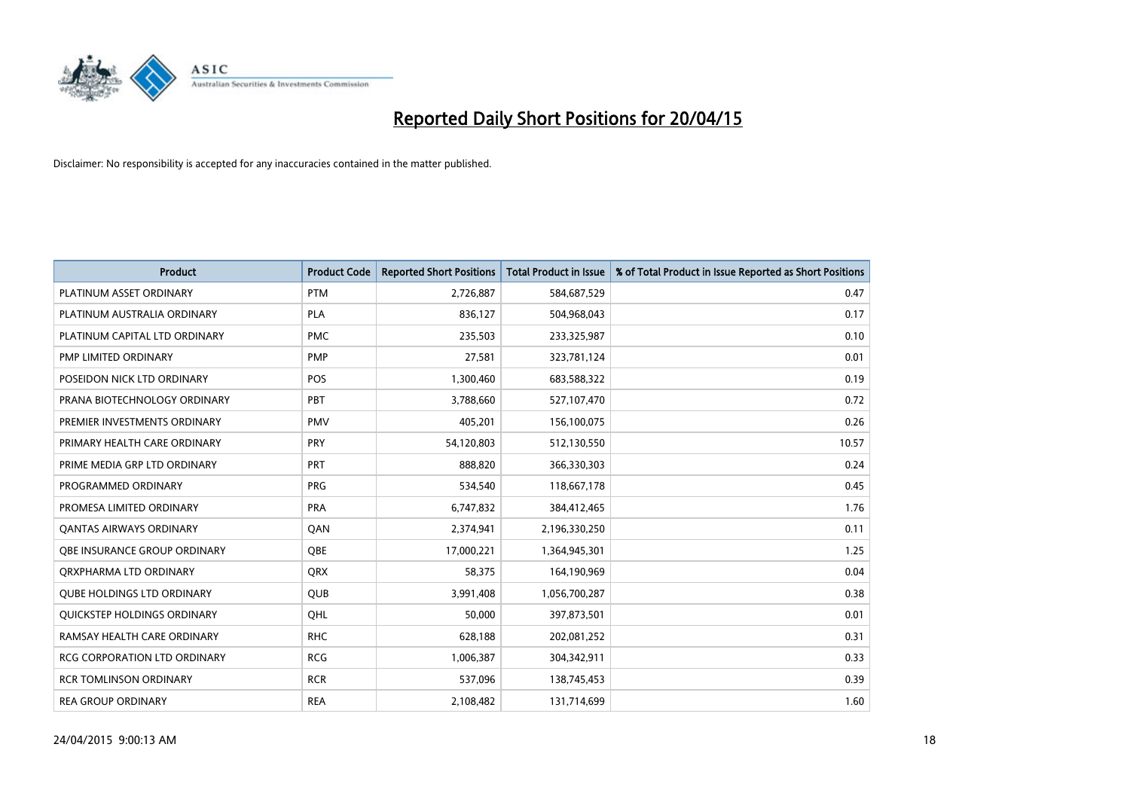

| <b>Product</b>                      | <b>Product Code</b> | <b>Reported Short Positions</b> | <b>Total Product in Issue</b> | % of Total Product in Issue Reported as Short Positions |
|-------------------------------------|---------------------|---------------------------------|-------------------------------|---------------------------------------------------------|
| PLATINUM ASSET ORDINARY             | <b>PTM</b>          | 2,726,887                       | 584,687,529                   | 0.47                                                    |
| PLATINUM AUSTRALIA ORDINARY         | <b>PLA</b>          | 836,127                         | 504,968,043                   | 0.17                                                    |
| PLATINUM CAPITAL LTD ORDINARY       | <b>PMC</b>          | 235,503                         | 233,325,987                   | 0.10                                                    |
| PMP LIMITED ORDINARY                | <b>PMP</b>          | 27,581                          | 323,781,124                   | 0.01                                                    |
| POSEIDON NICK LTD ORDINARY          | <b>POS</b>          | 1,300,460                       | 683,588,322                   | 0.19                                                    |
| PRANA BIOTECHNOLOGY ORDINARY        | PBT                 | 3,788,660                       | 527,107,470                   | 0.72                                                    |
| PREMIER INVESTMENTS ORDINARY        | PMV                 | 405,201                         | 156,100,075                   | 0.26                                                    |
| PRIMARY HEALTH CARE ORDINARY        | <b>PRY</b>          | 54,120,803                      | 512,130,550                   | 10.57                                                   |
| PRIME MEDIA GRP LTD ORDINARY        | <b>PRT</b>          | 888.820                         | 366,330,303                   | 0.24                                                    |
| PROGRAMMED ORDINARY                 | <b>PRG</b>          | 534,540                         | 118,667,178                   | 0.45                                                    |
| PROMESA LIMITED ORDINARY            | <b>PRA</b>          | 6,747,832                       | 384,412,465                   | 1.76                                                    |
| <b>QANTAS AIRWAYS ORDINARY</b>      | QAN                 | 2,374,941                       | 2,196,330,250                 | 0.11                                                    |
| <b>OBE INSURANCE GROUP ORDINARY</b> | <b>OBE</b>          | 17,000,221                      | 1,364,945,301                 | 1.25                                                    |
| ORXPHARMA LTD ORDINARY              | QRX                 | 58,375                          | 164,190,969                   | 0.04                                                    |
| <b>QUBE HOLDINGS LTD ORDINARY</b>   | <b>QUB</b>          | 3,991,408                       | 1,056,700,287                 | 0.38                                                    |
| QUICKSTEP HOLDINGS ORDINARY         | QHL                 | 50,000                          | 397,873,501                   | 0.01                                                    |
| RAMSAY HEALTH CARE ORDINARY         | <b>RHC</b>          | 628,188                         | 202,081,252                   | 0.31                                                    |
| RCG CORPORATION LTD ORDINARY        | <b>RCG</b>          | 1,006,387                       | 304,342,911                   | 0.33                                                    |
| <b>RCR TOMLINSON ORDINARY</b>       | <b>RCR</b>          | 537,096                         | 138,745,453                   | 0.39                                                    |
| <b>REA GROUP ORDINARY</b>           | <b>REA</b>          | 2,108,482                       | 131,714,699                   | 1.60                                                    |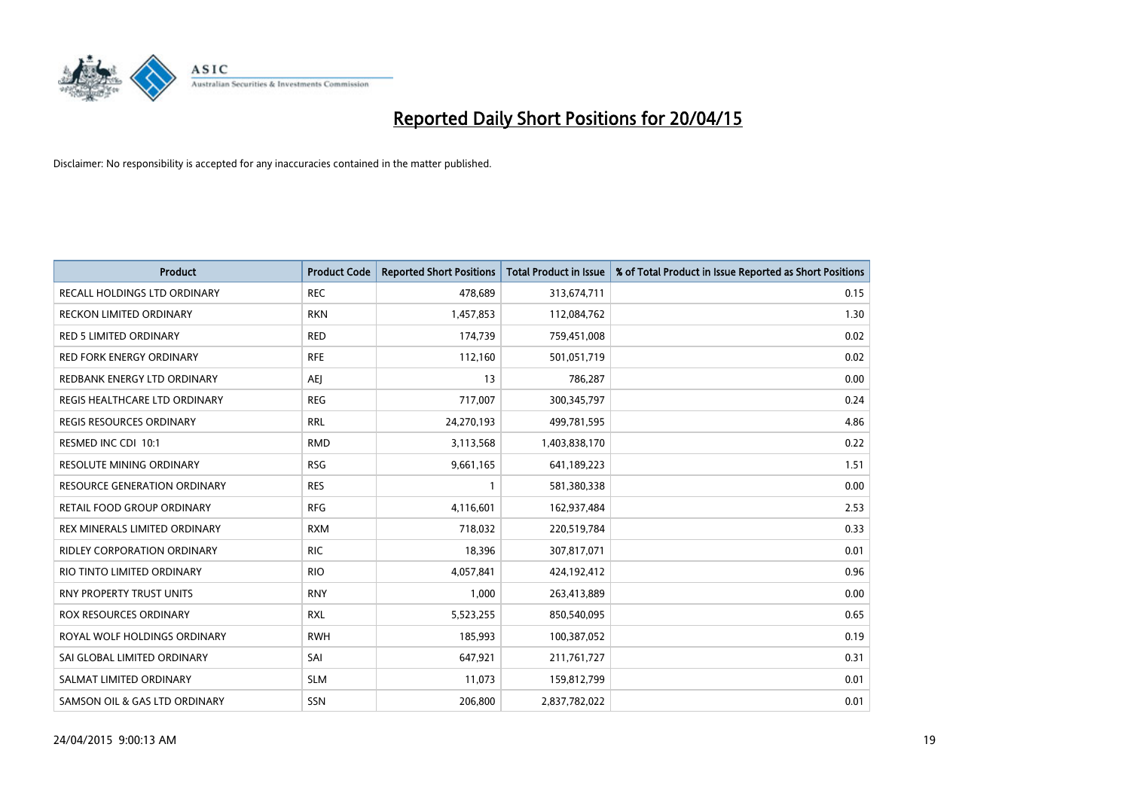

| <b>Product</b>                      | <b>Product Code</b> | <b>Reported Short Positions</b> | <b>Total Product in Issue</b> | % of Total Product in Issue Reported as Short Positions |
|-------------------------------------|---------------------|---------------------------------|-------------------------------|---------------------------------------------------------|
| <b>RECALL HOLDINGS LTD ORDINARY</b> | <b>REC</b>          | 478,689                         | 313,674,711                   | 0.15                                                    |
| RECKON LIMITED ORDINARY             | <b>RKN</b>          | 1,457,853                       | 112,084,762                   | 1.30                                                    |
| <b>RED 5 LIMITED ORDINARY</b>       | <b>RED</b>          | 174,739                         | 759,451,008                   | 0.02                                                    |
| <b>RED FORK ENERGY ORDINARY</b>     | <b>RFE</b>          | 112,160                         | 501,051,719                   | 0.02                                                    |
| REDBANK ENERGY LTD ORDINARY         | <b>AEI</b>          | 13                              | 786,287                       | 0.00                                                    |
| REGIS HEALTHCARE LTD ORDINARY       | <b>REG</b>          | 717,007                         | 300,345,797                   | 0.24                                                    |
| REGIS RESOURCES ORDINARY            | <b>RRL</b>          | 24,270,193                      | 499,781,595                   | 4.86                                                    |
| RESMED INC CDI 10:1                 | <b>RMD</b>          | 3,113,568                       | 1,403,838,170                 | 0.22                                                    |
| <b>RESOLUTE MINING ORDINARY</b>     | <b>RSG</b>          | 9,661,165                       | 641,189,223                   | 1.51                                                    |
| <b>RESOURCE GENERATION ORDINARY</b> | <b>RES</b>          | $\mathbf{1}$                    | 581,380,338                   | 0.00                                                    |
| RETAIL FOOD GROUP ORDINARY          | <b>RFG</b>          | 4,116,601                       | 162,937,484                   | 2.53                                                    |
| REX MINERALS LIMITED ORDINARY       | <b>RXM</b>          | 718,032                         | 220,519,784                   | 0.33                                                    |
| RIDLEY CORPORATION ORDINARY         | <b>RIC</b>          | 18,396                          | 307,817,071                   | 0.01                                                    |
| RIO TINTO LIMITED ORDINARY          | <b>RIO</b>          | 4,057,841                       | 424,192,412                   | 0.96                                                    |
| <b>RNY PROPERTY TRUST UNITS</b>     | <b>RNY</b>          | 1,000                           | 263,413,889                   | 0.00                                                    |
| ROX RESOURCES ORDINARY              | <b>RXL</b>          | 5,523,255                       | 850,540,095                   | 0.65                                                    |
| ROYAL WOLF HOLDINGS ORDINARY        | <b>RWH</b>          | 185,993                         | 100,387,052                   | 0.19                                                    |
| SAI GLOBAL LIMITED ORDINARY         | SAI                 | 647,921                         | 211,761,727                   | 0.31                                                    |
| SALMAT LIMITED ORDINARY             | <b>SLM</b>          | 11,073                          | 159,812,799                   | 0.01                                                    |
| SAMSON OIL & GAS LTD ORDINARY       | SSN                 | 206,800                         | 2,837,782,022                 | 0.01                                                    |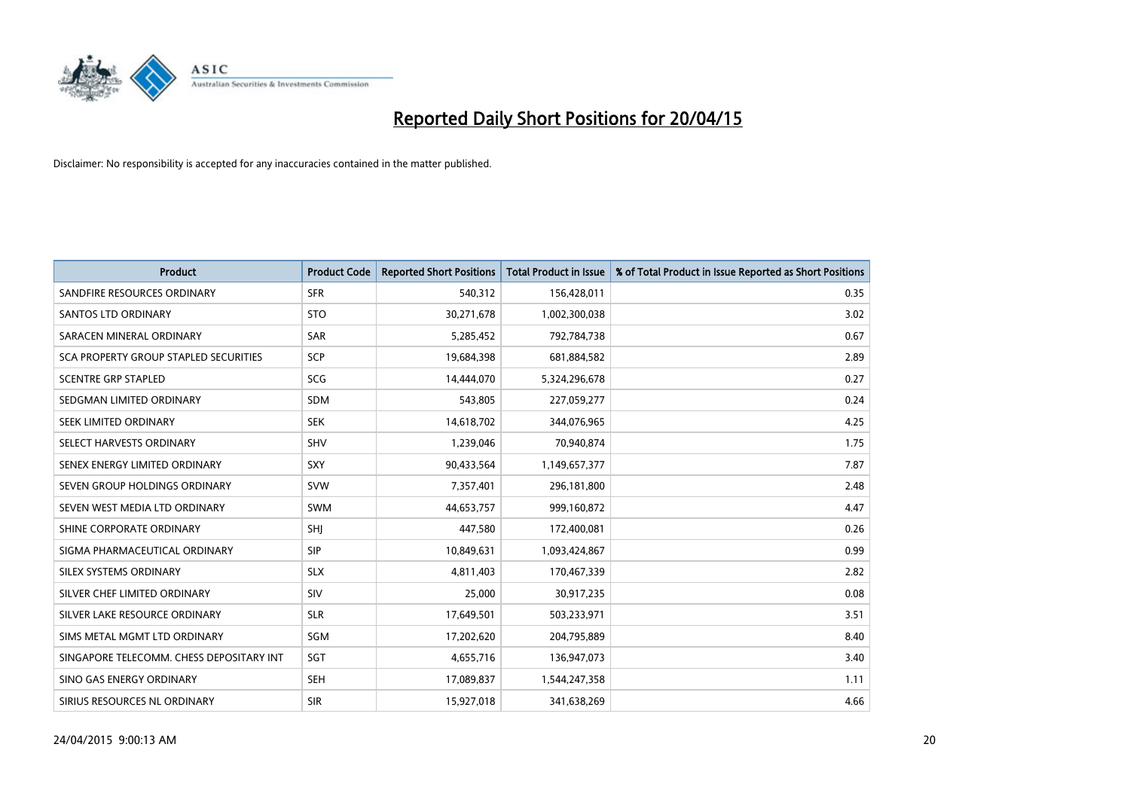

| <b>Product</b>                           | <b>Product Code</b> | <b>Reported Short Positions</b> | <b>Total Product in Issue</b> | % of Total Product in Issue Reported as Short Positions |
|------------------------------------------|---------------------|---------------------------------|-------------------------------|---------------------------------------------------------|
| SANDFIRE RESOURCES ORDINARY              | <b>SFR</b>          | 540,312                         | 156,428,011                   | 0.35                                                    |
| SANTOS LTD ORDINARY                      | <b>STO</b>          | 30,271,678                      | 1,002,300,038                 | 3.02                                                    |
| SARACEN MINERAL ORDINARY                 | <b>SAR</b>          | 5,285,452                       | 792,784,738                   | 0.67                                                    |
| SCA PROPERTY GROUP STAPLED SECURITIES    | <b>SCP</b>          | 19,684,398                      | 681,884,582                   | 2.89                                                    |
| <b>SCENTRE GRP STAPLED</b>               | <b>SCG</b>          | 14,444,070                      | 5,324,296,678                 | 0.27                                                    |
| SEDGMAN LIMITED ORDINARY                 | <b>SDM</b>          | 543,805                         | 227,059,277                   | 0.24                                                    |
| SEEK LIMITED ORDINARY                    | <b>SEK</b>          | 14,618,702                      | 344,076,965                   | 4.25                                                    |
| SELECT HARVESTS ORDINARY                 | <b>SHV</b>          | 1,239,046                       | 70,940,874                    | 1.75                                                    |
| SENEX ENERGY LIMITED ORDINARY            | <b>SXY</b>          | 90,433,564                      | 1,149,657,377                 | 7.87                                                    |
| SEVEN GROUP HOLDINGS ORDINARY            | <b>SVW</b>          | 7,357,401                       | 296,181,800                   | 2.48                                                    |
| SEVEN WEST MEDIA LTD ORDINARY            | SWM                 | 44,653,757                      | 999,160,872                   | 4.47                                                    |
| SHINE CORPORATE ORDINARY                 | SHJ                 | 447,580                         | 172,400,081                   | 0.26                                                    |
| SIGMA PHARMACEUTICAL ORDINARY            | <b>SIP</b>          | 10,849,631                      | 1,093,424,867                 | 0.99                                                    |
| SILEX SYSTEMS ORDINARY                   | <b>SLX</b>          | 4,811,403                       | 170,467,339                   | 2.82                                                    |
| SILVER CHEF LIMITED ORDINARY             | <b>SIV</b>          | 25,000                          | 30,917,235                    | 0.08                                                    |
| SILVER LAKE RESOURCE ORDINARY            | <b>SLR</b>          | 17,649,501                      | 503,233,971                   | 3.51                                                    |
| SIMS METAL MGMT LTD ORDINARY             | SGM                 | 17,202,620                      | 204,795,889                   | 8.40                                                    |
| SINGAPORE TELECOMM. CHESS DEPOSITARY INT | SGT                 | 4,655,716                       | 136,947,073                   | 3.40                                                    |
| SINO GAS ENERGY ORDINARY                 | <b>SEH</b>          | 17,089,837                      | 1,544,247,358                 | 1.11                                                    |
| SIRIUS RESOURCES NL ORDINARY             | <b>SIR</b>          | 15,927,018                      | 341,638,269                   | 4.66                                                    |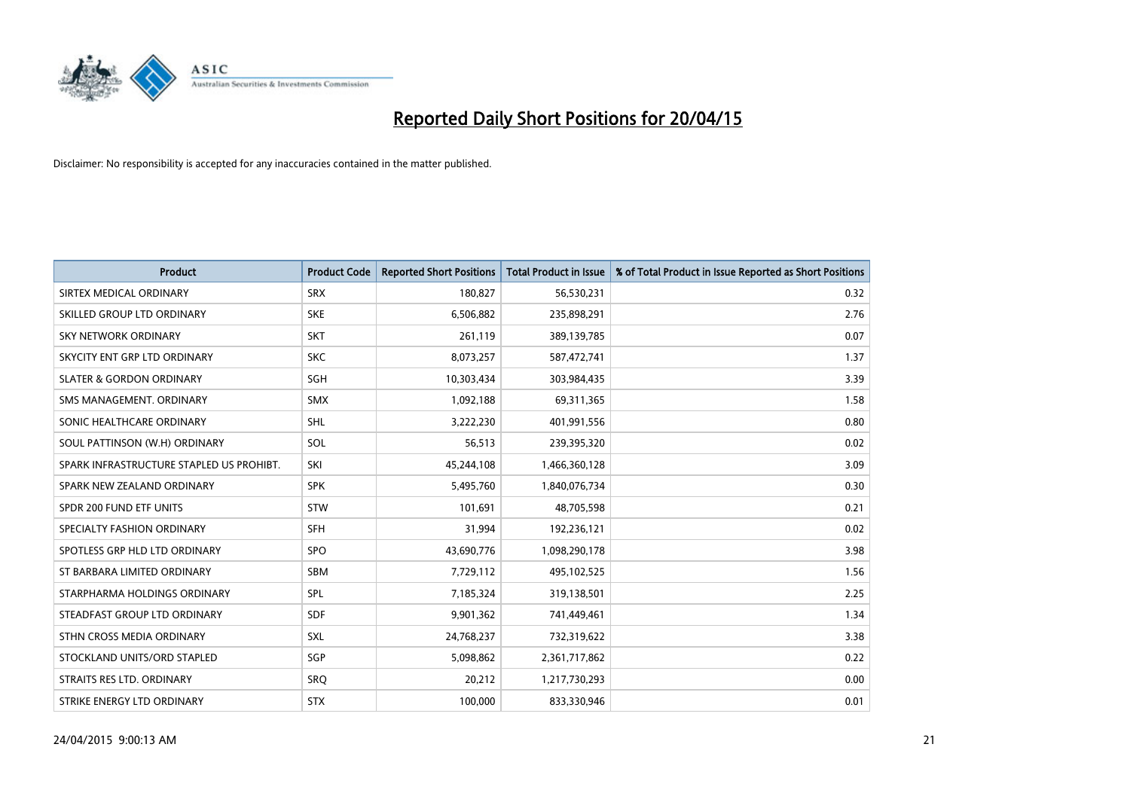

| <b>Product</b>                           | <b>Product Code</b> | <b>Reported Short Positions</b> | <b>Total Product in Issue</b> | % of Total Product in Issue Reported as Short Positions |
|------------------------------------------|---------------------|---------------------------------|-------------------------------|---------------------------------------------------------|
| SIRTEX MEDICAL ORDINARY                  | <b>SRX</b>          | 180,827                         | 56,530,231                    | 0.32                                                    |
| SKILLED GROUP LTD ORDINARY               | <b>SKE</b>          | 6,506,882                       | 235,898,291                   | 2.76                                                    |
| <b>SKY NETWORK ORDINARY</b>              | <b>SKT</b>          | 261,119                         | 389,139,785                   | 0.07                                                    |
| SKYCITY ENT GRP LTD ORDINARY             | <b>SKC</b>          | 8,073,257                       | 587,472,741                   | 1.37                                                    |
| <b>SLATER &amp; GORDON ORDINARY</b>      | SGH                 | 10,303,434                      | 303,984,435                   | 3.39                                                    |
| SMS MANAGEMENT, ORDINARY                 | <b>SMX</b>          | 1,092,188                       | 69,311,365                    | 1.58                                                    |
| SONIC HEALTHCARE ORDINARY                | <b>SHL</b>          | 3,222,230                       | 401,991,556                   | 0.80                                                    |
| SOUL PATTINSON (W.H) ORDINARY            | SOL                 | 56,513                          | 239,395,320                   | 0.02                                                    |
| SPARK INFRASTRUCTURE STAPLED US PROHIBT. | SKI                 | 45,244,108                      | 1,466,360,128                 | 3.09                                                    |
| SPARK NEW ZEALAND ORDINARY               | <b>SPK</b>          | 5,495,760                       | 1,840,076,734                 | 0.30                                                    |
| SPDR 200 FUND ETF UNITS                  | STW                 | 101,691                         | 48,705,598                    | 0.21                                                    |
| SPECIALTY FASHION ORDINARY               | <b>SFH</b>          | 31,994                          | 192,236,121                   | 0.02                                                    |
| SPOTLESS GRP HLD LTD ORDINARY            | <b>SPO</b>          | 43,690,776                      | 1,098,290,178                 | 3.98                                                    |
| ST BARBARA LIMITED ORDINARY              | <b>SBM</b>          | 7,729,112                       | 495,102,525                   | 1.56                                                    |
| STARPHARMA HOLDINGS ORDINARY             | <b>SPL</b>          | 7,185,324                       | 319,138,501                   | 2.25                                                    |
| STEADFAST GROUP LTD ORDINARY             | <b>SDF</b>          | 9,901,362                       | 741,449,461                   | 1.34                                                    |
| STHN CROSS MEDIA ORDINARY                | SXL                 | 24,768,237                      | 732,319,622                   | 3.38                                                    |
| STOCKLAND UNITS/ORD STAPLED              | SGP                 | 5,098,862                       | 2,361,717,862                 | 0.22                                                    |
| STRAITS RES LTD. ORDINARY                | SRQ                 | 20,212                          | 1,217,730,293                 | 0.00                                                    |
| STRIKE ENERGY LTD ORDINARY               | <b>STX</b>          | 100,000                         | 833,330,946                   | 0.01                                                    |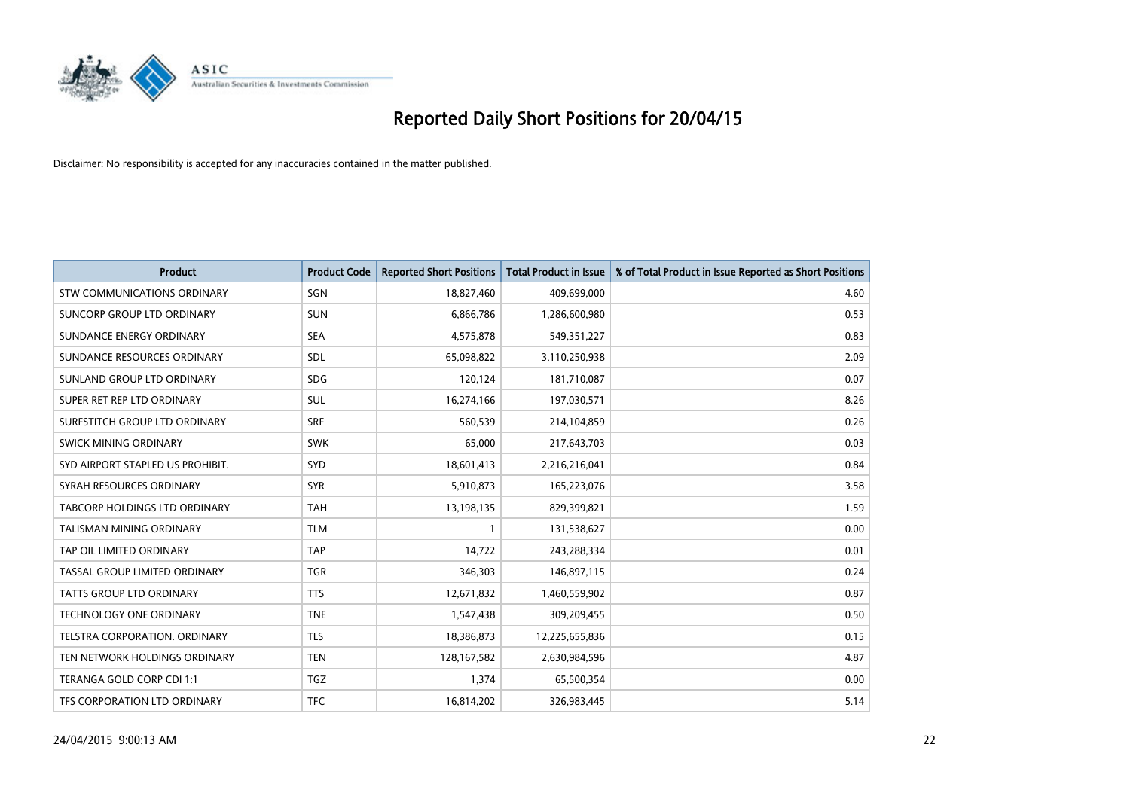

| <b>Product</b>                       | <b>Product Code</b> | <b>Reported Short Positions</b> | <b>Total Product in Issue</b> | % of Total Product in Issue Reported as Short Positions |
|--------------------------------------|---------------------|---------------------------------|-------------------------------|---------------------------------------------------------|
| <b>STW COMMUNICATIONS ORDINARY</b>   | SGN                 | 18,827,460                      | 409,699,000                   | 4.60                                                    |
| SUNCORP GROUP LTD ORDINARY           | <b>SUN</b>          | 6,866,786                       | 1,286,600,980                 | 0.53                                                    |
| SUNDANCE ENERGY ORDINARY             | <b>SEA</b>          | 4,575,878                       | 549,351,227                   | 0.83                                                    |
| SUNDANCE RESOURCES ORDINARY          | SDL                 | 65,098,822                      | 3,110,250,938                 | 2.09                                                    |
| SUNLAND GROUP LTD ORDINARY           | <b>SDG</b>          | 120,124                         | 181,710,087                   | 0.07                                                    |
| SUPER RET REP LTD ORDINARY           | <b>SUL</b>          | 16,274,166                      | 197,030,571                   | 8.26                                                    |
| SURFSTITCH GROUP LTD ORDINARY        | <b>SRF</b>          | 560,539                         | 214,104,859                   | 0.26                                                    |
| SWICK MINING ORDINARY                | <b>SWK</b>          | 65,000                          | 217,643,703                   | 0.03                                                    |
| SYD AIRPORT STAPLED US PROHIBIT.     | SYD                 | 18,601,413                      | 2,216,216,041                 | 0.84                                                    |
| SYRAH RESOURCES ORDINARY             | <b>SYR</b>          | 5,910,873                       | 165,223,076                   | 3.58                                                    |
| <b>TABCORP HOLDINGS LTD ORDINARY</b> | <b>TAH</b>          | 13,198,135                      | 829,399,821                   | 1.59                                                    |
| TALISMAN MINING ORDINARY             | <b>TLM</b>          | $\mathbf{1}$                    | 131,538,627                   | 0.00                                                    |
| TAP OIL LIMITED ORDINARY             | <b>TAP</b>          | 14,722                          | 243,288,334                   | 0.01                                                    |
| TASSAL GROUP LIMITED ORDINARY        | <b>TGR</b>          | 346,303                         | 146,897,115                   | 0.24                                                    |
| <b>TATTS GROUP LTD ORDINARY</b>      | <b>TTS</b>          | 12,671,832                      | 1,460,559,902                 | 0.87                                                    |
| <b>TECHNOLOGY ONE ORDINARY</b>       | <b>TNE</b>          | 1,547,438                       | 309,209,455                   | 0.50                                                    |
| TELSTRA CORPORATION, ORDINARY        | <b>TLS</b>          | 18,386,873                      | 12,225,655,836                | 0.15                                                    |
| TEN NETWORK HOLDINGS ORDINARY        | <b>TEN</b>          | 128,167,582                     | 2,630,984,596                 | 4.87                                                    |
| TERANGA GOLD CORP CDI 1:1            | <b>TGZ</b>          | 1,374                           | 65,500,354                    | 0.00                                                    |
| TFS CORPORATION LTD ORDINARY         | <b>TFC</b>          | 16,814,202                      | 326,983,445                   | 5.14                                                    |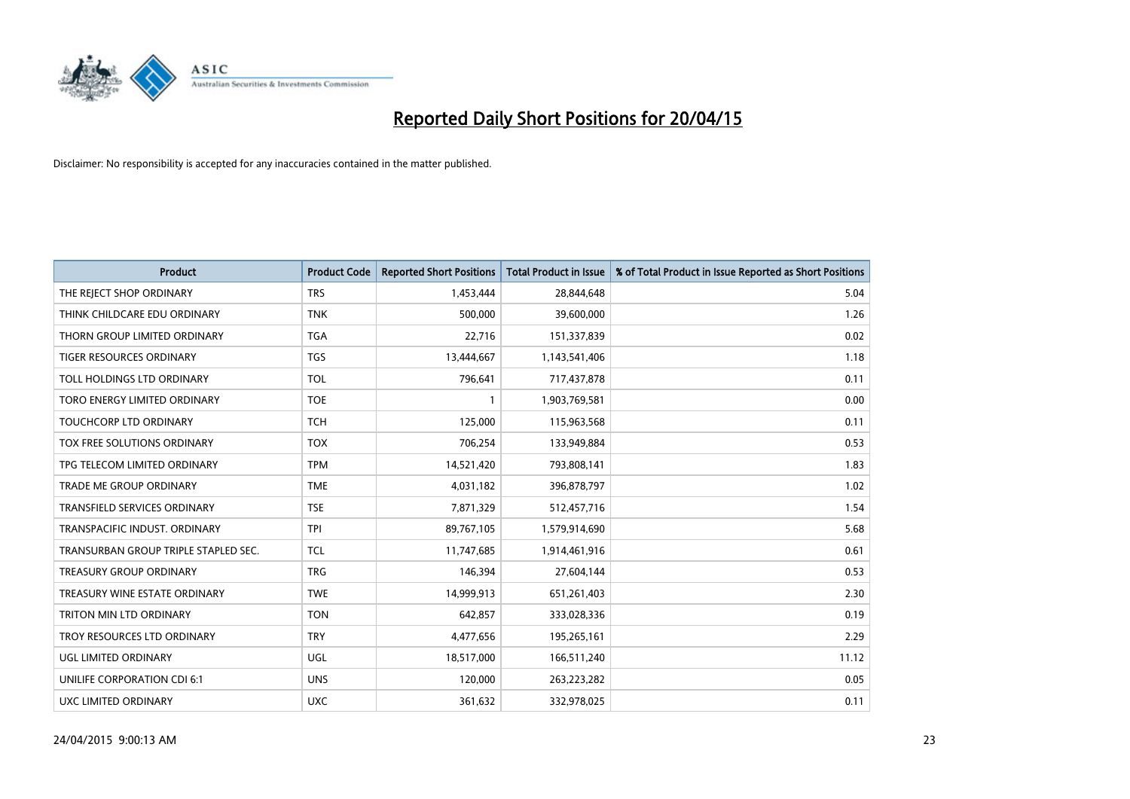

| <b>Product</b>                       | <b>Product Code</b> | <b>Reported Short Positions</b> | <b>Total Product in Issue</b> | % of Total Product in Issue Reported as Short Positions |
|--------------------------------------|---------------------|---------------------------------|-------------------------------|---------------------------------------------------------|
| THE REJECT SHOP ORDINARY             | <b>TRS</b>          | 1,453,444                       | 28,844,648                    | 5.04                                                    |
| THINK CHILDCARE EDU ORDINARY         | <b>TNK</b>          | 500,000                         | 39,600,000                    | 1.26                                                    |
| THORN GROUP LIMITED ORDINARY         | <b>TGA</b>          | 22,716                          | 151,337,839                   | 0.02                                                    |
| TIGER RESOURCES ORDINARY             | <b>TGS</b>          | 13,444,667                      | 1,143,541,406                 | 1.18                                                    |
| TOLL HOLDINGS LTD ORDINARY           | <b>TOL</b>          | 796,641                         | 717,437,878                   | 0.11                                                    |
| TORO ENERGY LIMITED ORDINARY         | <b>TOE</b>          | 1                               | 1,903,769,581                 | 0.00                                                    |
| <b>TOUCHCORP LTD ORDINARY</b>        | <b>TCH</b>          | 125,000                         | 115,963,568                   | 0.11                                                    |
| TOX FREE SOLUTIONS ORDINARY          | <b>TOX</b>          | 706,254                         | 133,949,884                   | 0.53                                                    |
| TPG TELECOM LIMITED ORDINARY         | <b>TPM</b>          | 14,521,420                      | 793,808,141                   | 1.83                                                    |
| <b>TRADE ME GROUP ORDINARY</b>       | <b>TME</b>          | 4,031,182                       | 396,878,797                   | 1.02                                                    |
| TRANSFIELD SERVICES ORDINARY         | <b>TSE</b>          | 7,871,329                       | 512,457,716                   | 1.54                                                    |
| TRANSPACIFIC INDUST, ORDINARY        | <b>TPI</b>          | 89,767,105                      | 1,579,914,690                 | 5.68                                                    |
| TRANSURBAN GROUP TRIPLE STAPLED SEC. | TCL                 | 11,747,685                      | 1,914,461,916                 | 0.61                                                    |
| <b>TREASURY GROUP ORDINARY</b>       | <b>TRG</b>          | 146,394                         | 27,604,144                    | 0.53                                                    |
| TREASURY WINE ESTATE ORDINARY        | <b>TWE</b>          | 14,999,913                      | 651,261,403                   | 2.30                                                    |
| TRITON MIN LTD ORDINARY              | <b>TON</b>          | 642,857                         | 333,028,336                   | 0.19                                                    |
| TROY RESOURCES LTD ORDINARY          | <b>TRY</b>          | 4,477,656                       | 195,265,161                   | 2.29                                                    |
| UGL LIMITED ORDINARY                 | <b>UGL</b>          | 18,517,000                      | 166,511,240                   | 11.12                                                   |
| UNILIFE CORPORATION CDI 6:1          | <b>UNS</b>          | 120,000                         | 263,223,282                   | 0.05                                                    |
| UXC LIMITED ORDINARY                 | <b>UXC</b>          | 361,632                         | 332,978,025                   | 0.11                                                    |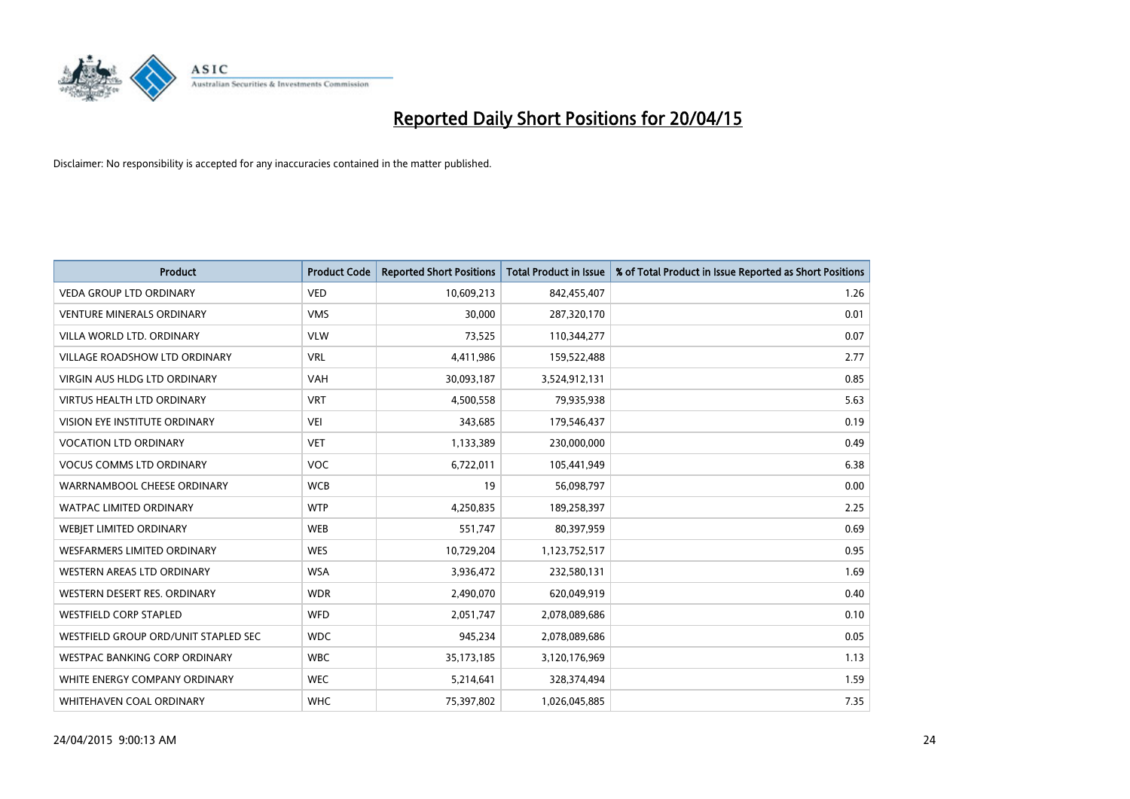

| <b>Product</b>                       | <b>Product Code</b> | <b>Reported Short Positions</b> | <b>Total Product in Issue</b> | % of Total Product in Issue Reported as Short Positions |
|--------------------------------------|---------------------|---------------------------------|-------------------------------|---------------------------------------------------------|
| <b>VEDA GROUP LTD ORDINARY</b>       | <b>VED</b>          | 10,609,213                      | 842,455,407                   | 1.26                                                    |
| <b>VENTURE MINERALS ORDINARY</b>     | <b>VMS</b>          | 30,000                          | 287,320,170                   | 0.01                                                    |
| VILLA WORLD LTD. ORDINARY            | <b>VLW</b>          | 73,525                          | 110,344,277                   | 0.07                                                    |
| <b>VILLAGE ROADSHOW LTD ORDINARY</b> | <b>VRL</b>          | 4,411,986                       | 159,522,488                   | 2.77                                                    |
| <b>VIRGIN AUS HLDG LTD ORDINARY</b>  | <b>VAH</b>          | 30,093,187                      | 3,524,912,131                 | 0.85                                                    |
| <b>VIRTUS HEALTH LTD ORDINARY</b>    | <b>VRT</b>          | 4,500,558                       | 79,935,938                    | 5.63                                                    |
| <b>VISION EYE INSTITUTE ORDINARY</b> | <b>VEI</b>          | 343,685                         | 179,546,437                   | 0.19                                                    |
| <b>VOCATION LTD ORDINARY</b>         | <b>VET</b>          | 1,133,389                       | 230,000,000                   | 0.49                                                    |
| <b>VOCUS COMMS LTD ORDINARY</b>      | VOC                 | 6,722,011                       | 105,441,949                   | 6.38                                                    |
| WARRNAMBOOL CHEESE ORDINARY          | <b>WCB</b>          | 19                              | 56,098,797                    | 0.00                                                    |
| <b>WATPAC LIMITED ORDINARY</b>       | <b>WTP</b>          | 4,250,835                       | 189,258,397                   | 2.25                                                    |
| WEBJET LIMITED ORDINARY              | <b>WEB</b>          | 551,747                         | 80,397,959                    | 0.69                                                    |
| WESFARMERS LIMITED ORDINARY          | <b>WES</b>          | 10,729,204                      | 1,123,752,517                 | 0.95                                                    |
| <b>WESTERN AREAS LTD ORDINARY</b>    | <b>WSA</b>          | 3,936,472                       | 232,580,131                   | 1.69                                                    |
| WESTERN DESERT RES. ORDINARY         | <b>WDR</b>          | 2,490,070                       | 620,049,919                   | 0.40                                                    |
| <b>WESTFIELD CORP STAPLED</b>        | WFD                 | 2,051,747                       | 2,078,089,686                 | 0.10                                                    |
| WESTFIELD GROUP ORD/UNIT STAPLED SEC | <b>WDC</b>          | 945,234                         | 2,078,089,686                 | 0.05                                                    |
| WESTPAC BANKING CORP ORDINARY        | <b>WBC</b>          | 35,173,185                      | 3,120,176,969                 | 1.13                                                    |
| WHITE ENERGY COMPANY ORDINARY        | <b>WEC</b>          | 5,214,641                       | 328,374,494                   | 1.59                                                    |
| WHITEHAVEN COAL ORDINARY             | <b>WHC</b>          | 75,397,802                      | 1,026,045,885                 | 7.35                                                    |